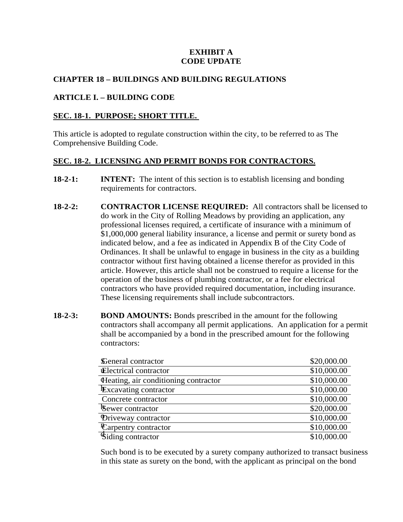# **EXHIBIT A CODE UPDATE**

# **CHAPTER 18 – BUILDINGS AND BUILDING REGULATIONS**

# **ARTICLE I. – BUILDING CODE**

# **SEC. 18-1. PURPOSE; SHORT TITLE.**

This article is adopted to regulate construction within the city, to be referred to as The Comprehensive Building Code.

# **SEC. 18-2. LICENSING AND PERMIT BONDS FOR CONTRACTORS.**

- **18-2-1: INTENT:** The intent of this section is to establish licensing and bonding requirements for contractors.
- **18-2-2: CONTRACTOR LICENSE REQUIRED:** All contractors shall be licensed to do work in the City of Rolling Meadows by providing an application, any professional licenses required, a certificate of insurance with a minimum of \$1,000,000 general liability insurance, a license and permit or surety bond as indicated below, and a fee as indicated in Appendix B of the City Code of Ordinances. It shall be unlawful to engage in business in the city as a building contractor without first having obtained a license therefor as provided in this article. However, this article shall not be construed to require a license for the operation of the business of plumbing contractor, or a fee for electrical contractors who have provided required documentation, including insurance. These licensing requirements shall include subcontractors.
- **18-2-3: BOND AMOUNTS:** Bonds prescribed in the amount for the following contractors shall accompany all permit applications. An application for a permit shall be accompanied by a bond in the prescribed amount for the following contractors:

| <b>S</b> eneral contractor           | \$20,000.00 |
|--------------------------------------|-------------|
| Electrical contractor                | \$10,000.00 |
| Heating, air conditioning contractor | \$10,000.00 |
| Excavating contractor                | \$10,000.00 |
| Concrete contractor                  | \$10,000.00 |
| Sewer contractor                     | \$20,000.00 |
| <b>Driveway contractor</b>           | \$10,000.00 |
| <b>Carpentry contractor</b>          | \$10,000.00 |
| Siding contractor                    | \$10,000.00 |

Such bond is to be executed by a surety company authorized to transact business in this state as surety on the bond, with the applicant as principal on the bond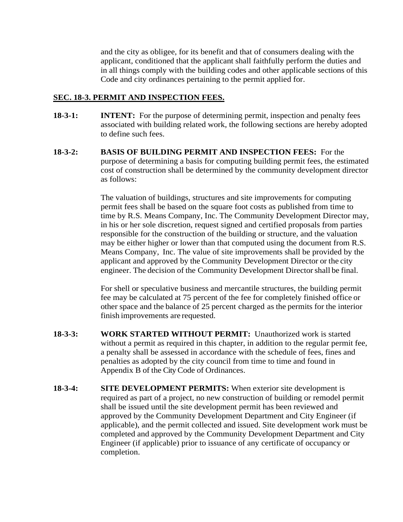and the city as obligee, for its benefit and that of consumers dealing with the applicant, conditioned that the applicant shall faithfully perform the duties and in all things comply with the building codes and other applicable sections of this Code and city ordinances pertaining to the permit applied for.

#### **SEC. 18-3. PERMIT AND INSPECTION FEES.**

- **18-3-1: INTENT:** For the purpose of determining permit, inspection and penalty fees associated with building related work, the following sections are hereby adopted to define such fees.
- **18-3-2: BASIS OF BUILDING PERMIT AND INSPECTION FEES:** For the purpose of determining a basis for computing building permit fees, the estimated cost of construction shall be determined by the community development director as follows:

The valuation of buildings, structures and site improvements for computing permit fees shall be based on the square foot costs as published from time to time by R.S. Means Company, Inc. The Community Development Director may, in his or her sole discretion, request signed and certified proposals from parties responsible for the construction of the building or structure, and the valuation may be either higher or lower than that computed using the document from R.S. Means Company, Inc. The value of site improvements shall be provided by the applicant and approved by the Community Development Director or the city engineer. The decision of the Community Development Director shall be final.

For shell or speculative business and mercantile structures, the building permit fee may be calculated at 75 percent of the fee for completely finished office or other space and the balance of 25 percent charged as the permits for the interior finish improvements are requested.

- **18-3-3: WORK STARTED WITHOUT PERMIT:**Unauthorized work is started without a permit as required in this chapter, in addition to the regular permit fee, a penalty shall be assessed in accordance with the schedule of fees, fines and penalties as adopted by the city council from time to time and found in Appendix B of the City Code of Ordinances.
- **18-3-4: SITE DEVELOPMENT PERMITS:** When exterior site development is required as part of a project, no new construction of building or remodel permit shall be issued until the site development permit has been reviewed and approved by the Community Development Department and City Engineer (if applicable), and the permit collected and issued. Site development work must be completed and approved by the Community Development Department and City Engineer (if applicable) prior to issuance of any certificate of occupancy or completion.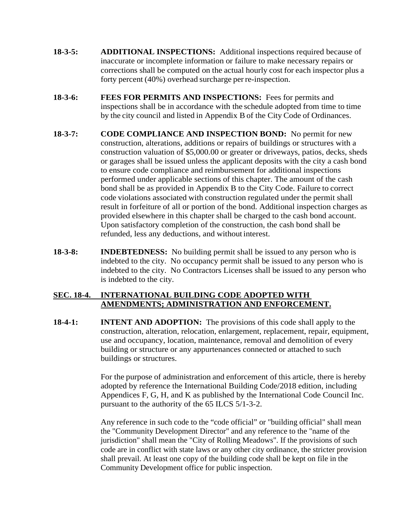- **18-3-5: ADDITIONAL INSPECTIONS:** Additional inspections required because of inaccurate or incomplete information or failure to make necessary repairs or corrections shall be computed on the actual hourly cost for each inspector plus a forty percent (40%) overhead surcharge perre-inspection.
- **18-3-6: FEES FOR PERMITS AND INSPECTIONS:**Fees for permits and inspections shall be in accordance with the schedule adopted from time to time by the city council and listed in Appendix B of the City Code of Ordinances.
- **18-3-7: CODE COMPLIANCE AND INSPECTION BOND:**No permit for new construction, alterations, additions or repairs of buildings or structures with a construction valuation of \$5,000.00 or greater or driveways, patios, decks, sheds or garages shall be issued unless the applicant deposits with the city a cash bond to ensure code compliance and reimbursement for additional inspections performed under applicable sections of this chapter. The amount of the cash bond shall be as provided in Appendix B to the City Code. Failure to correct code violations associated with construction regulated under the permit shall result in forfeiture of all or portion of the bond. Additional inspection charges as provided elsewhere in this chapter shall be charged to the cash bond account. Upon satisfactory completion of the construction, the cash bond shall be refunded, less any deductions, and without interest.
- **18-3-8: INDEBTEDNESS:** No building permit shall be issued to any person who is indebted to the city. No occupancy permit shall be issued to any person who is indebted to the city. No Contractors Licenses shall be issued to any person who is indebted to the city.

### **SEC. 18-4. INTERNATIONAL BUILDING CODE ADOPTED WITH AMENDMENTS; ADMINISTRATION AND ENFORCEMENT.**

**18-4-1: INTENT AND ADOPTION:** The provisions of this code shall apply to the construction, alteration, relocation, enlargement, replacement, repair, equipment, use and occupancy, location, maintenance, removal and demolition of every building or structure or any appurtenances connected or attached to such buildings or structures.

> For the purpose of administration and enforcement of this article, there is hereby adopted by reference the International Building Code/2018 edition, including Appendices F, G, H, and K as published by the International Code Council Inc. pursuant to the authority of the 65 ILCS 5/1-3-2.

> Any reference in such code to the "code official" or "building official" shall mean the "Community Development Director" and any reference to the "name of the jurisdiction" shall mean the "City of Rolling Meadows". If the provisions of such code are in conflict with state laws or any other city ordinance, the stricter provision shall prevail. At least one copy of the building code shall be kept on file in the Community Development office for public inspection.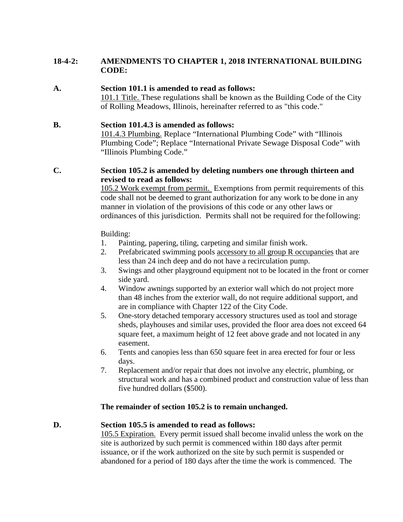# **18-4-2: AMENDMENTS TO CHAPTER 1, 2018 INTERNATIONAL BUILDING CODE:**

### **A. Section 101.1 is amended to read as follows:**

101.1 Title. These regulations shall be known as the Building Code of the City of Rolling Meadows, Illinois, hereinafter referred to as "this code."

# **B. Section 101.4.3 is amended as follows:**

101.4.3 Plumbing. Replace "International Plumbing Code" with "Illinois Plumbing Code"; Replace "International Private Sewage Disposal Code" with "Illinois Plumbing Code."

### **C. Section 105.2 is amended by deleting numbers one through thirteen and revised to read as follows:**

105.2 Work exempt from permit. Exemptions from permit requirements of this code shall not be deemed to grant authorization for any work to be done in any manner in violation of the provisions of this code or any other laws or ordinances of this jurisdiction. Permits shall not be required for the following:

### Building:

- 1. Painting, papering, tiling, carpeting and similar finish work.
- 2. Prefabricated swimming pools accessory to all group R occupancies that are less than 24 inch deep and do not have a recirculation pump.
- 3. Swings and other playground equipment not to be located in the front or corner side yard.
- 4. Window awnings supported by an exterior wall which do not project more than 48 inches from the exterior wall, do not require additional support, and are in compliance with Chapter 122 of the City Code.
- 5. One-story detached temporary accessory structures used as tool and storage sheds, playhouses and similar uses, provided the floor area does not exceed 64 square feet, a maximum height of 12 feet above grade and not located in any easement.
- 6. Tents and canopies less than 650 square feet in area erected for four or less days.
- 7. Replacement and/or repair that does not involve any electric, plumbing, or structural work and has a combined product and construction value of less than five hundred dollars (\$500).

# **The remainder of section 105.2 is to remain unchanged.**

#### **D. Section 105.5 is amended to read as follows:**

105.5 Expiration. Every permit issued shall become invalid unless the work on the site is authorized by such permit is commenced within 180 days after permit issuance, or if the work authorized on the site by such permit is suspended or abandoned for a period of 180 days after the time the work is commenced. The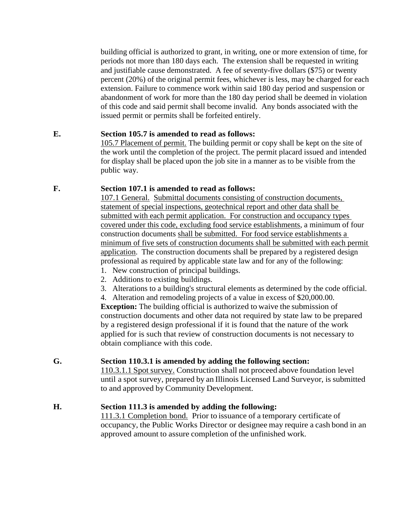building official is authorized to grant, in writing, one or more extension of time, for periods not more than 180 days each. The extension shall be requested in writing and justifiable cause demonstrated. A fee of seventy-five dollars (\$75) or twenty percent (20%) of the original permit fees, whichever is less, may be charged for each extension. Failure to commence work within said 180 day period and suspension or abandonment of work for more than the 180 day period shall be deemed in violation of this code and said permit shall become invalid. Any bonds associated with the issued permit or permits shall be forfeited entirely.

## **E. Section 105.7 is amended to read as follows:**

105.7 Placement of permit. The building permit or copy shall be kept on the site of the work until the completion of the project. The permit placard issued and intended for display shall be placed upon the job site in a manner as to be visible from the public way.

### **F. Section 107.1 is amended to read as follows:**

107.1 General. Submittal documents consisting of construction documents, statement of special inspections, geotechnical report and other data shall be submitted with each permit application. For construction and occupancy types covered under this code, excluding food service establishments, a minimum of four construction documents shall be submitted. For food service establishments a minimum of five sets of construction documents shall be submitted with each permit application. The construction documents shall be prepared by a registered design professional as required by applicable state law and for any of the following:

- 1. New construction of principal buildings.
- 2. Additions to existing buildings.
- 3. Alterations to a building's structural elements as determined by the code official.

4. Alteration and remodeling projects of a value in excess of \$20,000.00.

**Exception:** The building official is authorized to waive the submission of construction documents and other data not required by state law to be prepared by a registered design professional if it is found that the nature of the work applied for is such that review of construction documents is not necessary to obtain compliance with this code.

# **G. Section 110.3.1 is amended by adding the following section:**

110.3.1.1 Spot survey. Construction shall not proceed above foundation level until a spot survey, prepared by an Illinois Licensed Land Surveyor, is submitted to and approved by Community Development.

# **H. Section 111.3 is amended by adding the following:**

111.3.1 Completion bond. Prior to issuance of a temporary certificate of occupancy, the Public Works Director or designee may require a cash bond in an approved amount to assure completion of the unfinished work.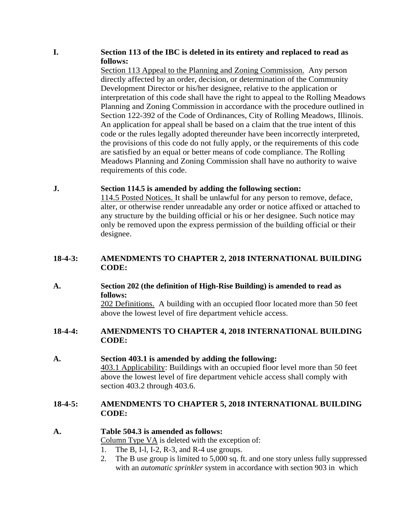### **I. Section 113 of the IBC is deleted in its entirety and replaced to read as follows:**

Section 113 Appeal to the Planning and Zoning Commission. Any person directly affected by an order, decision, or determination of the Community Development Director or his/her designee, relative to the application or interpretation of this code shall have the right to appeal to the Rolling Meadows Planning and Zoning Commission in accordance with the procedure outlined in Section 122-392 of the Code of Ordinances, City of Rolling Meadows, Illinois. An application for appeal shall be based on a claim that the true intent of this code or the rules legally adopted thereunder have been incorrectly interpreted, the provisions of this code do not fully apply, or the requirements of this code are satisfied by an equal or better means of code compliance. The Rolling Meadows Planning and Zoning Commission shall have no authority to waive requirements of this code.

# **J. Section 114.5 is amended by adding the following section:**

114.5 Posted Notices. It shall be unlawful for any person to remove, deface, alter, or otherwise render unreadable any order or notice affixed or attached to any structure by the building official or his or her designee. Such notice may only be removed upon the express permission of the building official or their designee.

# **18-4-3: AMENDMENTS TO CHAPTER 2, 2018 INTERNATIONAL BUILDING CODE:**

# **A. Section 202 (the definition of High-Rise Building) is amended to read as follows:**

202 Definitions. A building with an occupied floor located more than 50 feet above the lowest level of fire department vehicle access.

### **18-4-4: AMENDMENTS TO CHAPTER 4, 2018 INTERNATIONAL BUILDING CODE:**

#### **A. Section 403.1 is amended by adding the following:** 403.1 Applicability: Buildings with an occupied floor level more than 50 feet above the lowest level of fire department vehicle access shall comply with section 403.2 through 403.6.

### **18-4-5: AMENDMENTS TO CHAPTER 5, 2018 INTERNATIONAL BUILDING CODE:**

#### **A. Table 504.3 is amended as follows:**

Column Type VA is deleted with the exception of:

- 1. The B, I-l, I-2, R-3, and R-4 use groups.
- 2. The B use group is limited to 5,000 sq. ft. and one story unless fully suppressed with an *automatic sprinkler* system in accordance with section 903 in which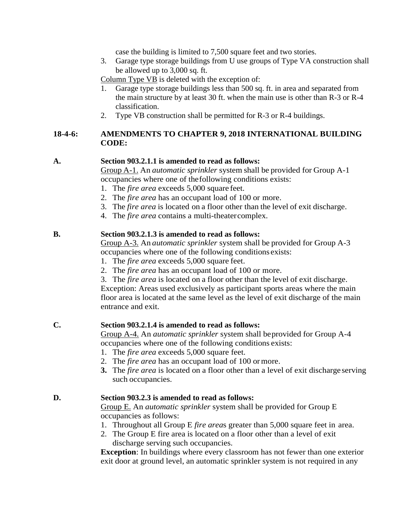case the building is limited to 7,500 square feet and two stories.

3. Garage type storage buildings from U use groups of Type VA construction shall be allowed up to 3,000 sq. ft.

Column Type VB is deleted with the exception of:

- 1. Garage type storage buildings less than 500 sq. ft. in area and separated from the main structure by at least 30 ft. when the main use is other than R-3 or R-4 classification.
- 2. Type VB construction shall be permitted for R-3 or R-4 buildings.

# **18-4-6: AMENDMENTS TO CHAPTER 9, 2018 INTERNATIONAL BUILDING CODE:**

### **A. Section 903.2.1.1 is amended to read as follows:**

Group A-1. An *automatic sprinkler* system shall be provided for Group A-1 occupancies where one of thefollowing conditions exists:

- 1. The *fire area* exceeds 5,000 square feet.
- 2. The *fire area* has an occupant load of 100 or more.
- 3. The *fire area* is located on a floor other than the level of exit discharge.
- 4. The *fire area* contains a multi-theatercomplex.

### **B. Section 903.2.1.3 is amended to read as follows:**

Group A-3. An *automatic sprinkler* system shall be provided for Group A-3 occupancies where one of the following conditions exists:

- 1. The *fire area* exceeds 5,000 square feet.
- 2. The *fire area* has an occupant load of 100 or more.
- 3. The *fire area* is located on a floor other than the level of exit discharge.

Exception: Areas used exclusively as participant sports areas where the main floor area is located at the same level as the level of exit discharge of the main entrance and exit.

#### **C. Section 903.2.1.4 is amended to read as follows:**

Group A-4. An *automatic sprinkler* system shall beprovided for Group A-4 occupancies where one of the following conditions exists:

- 1. The *fire area* exceeds 5,000 square feet.
- 2. The *fire area* has an occupant load of 100 ormore.
- **3.** The *fire area* is located on a floor other than a level of exit discharge serving such occupancies.

# **D. Section 903.2.3 is amended to read as follows:**

Group E. An *automatic sprinkler* system shall be provided for Group E occupancies as follows:

- 1. Throughout all Group E *fire area*s greater than 5,000 square feet in area.
- 2. The Group E fire area is located on a floor other than a level of exit discharge serving such occupancies.

**Exception**: In buildings where every classroom has not fewer than one exterior exit door at ground level, an automatic sprinkler system is not required in any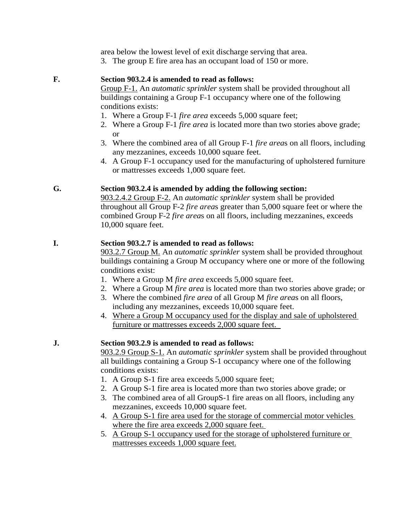area below the lowest level of exit discharge serving that area.

3. The group E fire area has an occupant load of 150 or more.

# **F. Section 903.2.4 is amended to read as follows:**

Group F-1. An *automatic sprinkler* system shall be provided throughout all buildings containing a Group F-1 occupancy where one of the following conditions exists:

- 1. Where a Group F-1 *fire area* exceeds 5,000 square feet;
- 2. Where a Group F-1 *fire area* is located more than two stories above grade; or
- 3. Where the combined area of all Group F-1 *fire area*s on all floors, including any mezzanines, exceeds 10,000 square feet.
- 4. A Group F-1 occupancy used for the manufacturing of upholstered furniture or mattresses exceeds 1,000 square feet.

# **G. Section 903.2.4 is amended by adding the following section:**

903.2.4.2 Group F-2. An *automatic sprinkler* system shall be provided throughout all Group F-2 *fire area*s greater than 5,000 square feet or where the combined Group F-2 *fire area*s on all floors, including mezzanines, exceeds 10,000 square feet.

# **I. Section 903.2.7 is amended to read as follows:**

903.2.7 Group M. An *automatic sprinkler* system shall be provided throughout buildings containing a Group M occupancy where one or more of the following conditions exist:

- 1. Where a Group M *fire area* exceeds 5,000 square feet.
- 2. Where a Group M *fire area* is located more than two stories above grade; or
- 3. Where the combined *fire area* of all Group M *fire area*s on all floors, including any mezzanines, exceeds 10,000 square feet.
- 4. Where a Group M occupancy used for the display and sale of upholstered furniture or mattresses exceeds 2,000 square feet.

# **J. Section 903.2.9 is amended to read as follows:**

903.2.9 Group S-1. An *automatic sprinkler* system shall be provided throughout all buildings containing a Group S-1 occupancy where one of the following conditions exists:

- 1. A Group S-1 fire area exceeds 5,000 square feet;
- 2. A Group S-1 fire area is located more than two stories above grade; or
- 3. The combined area of all GroupS-1 fire areas on all floors, including any mezzanines, exceeds 10,000 square feet.
- 4. A Group S-1 fire area used for the storage of commercial motor vehicles where the fire area exceeds 2,000 square feet.
- 5. A Group S-1 occupancy used for the storage of upholstered furniture or mattresses exceeds 1,000 square feet.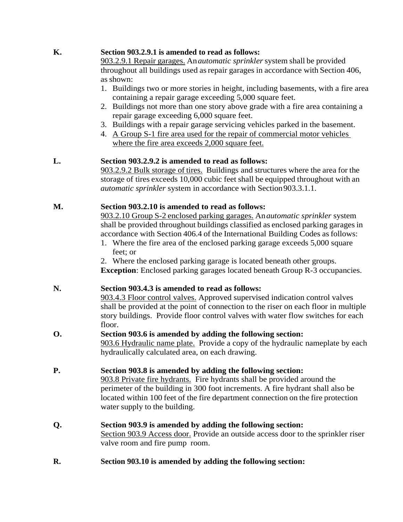# **K. Section 903.2.9.1 is amended to read as follows:**

903.2.9.1 Repair garages. An*automatic sprinkler*system shall be provided throughout all buildings used asrepair garages in accordance with Section 406, asshown:

- 1. Buildings two or more stories in height, including basements, with a fire area containing a repair garage exceeding 5,000 square feet.
- 2. Buildings not more than one story above grade with a fire area containing a repair garage exceeding 6,000 square feet.
- 3. Buildings with a repair garage servicing vehicles parked in the basement.
- 4. A Group S-1 fire area used for the repair of commercial motor vehicles where the fire area exceeds 2,000 square feet.

# **L. Section 903.2.9.2 is amended to read as follows:**

903.2.9.2 Bulk storage of tires. Buildings and structures where the area for the storage of tires exceeds 10,000 cubic feet shall be equipped throughout with an *automatic sprinkler* system in accordance with Section903.3.1.1.

# **M. Section 903.2.10 is amended to read as follows:**

903.2.10 Group S-2 enclosed parking garages. An*automatic sprinkler* system shall be provided throughout buildings classified as enclosed parking garages in accordance with Section 406.4 of the International Building Codes asfollows:

- 1. Where the fire area of the enclosed parking garage exceeds 5,000 square feet; or
- 2. Where the enclosed parking garage is located beneath other groups.

**Exception**: Enclosed parking garages located beneath Group R-3 occupancies.

# **N. Section 903.4.3 is amended to read as follows:**

903.4.3 Floor control valves. Approved supervised indication control valves shall be provided at the point of connection to the riser on each floor in multiple story buildings. Provide floor control valves with water flow switches for each floor.

# **O. Section 903.6 is amended by adding the following section:**

903.6 Hydraulic name plate. Provide a copy of the hydraulic nameplate by each hydraulically calculated area, on each drawing.

# **P. Section 903.8 is amended by adding the following section:**

903.8 Private fire hydrants. Fire hydrants shall be provided around the perimeter of the building in 300 foot increments. A fire hydrant shall also be located within 100 feet of the fire department connection on the fire protection water supply to the building.

# **Q. Section 903.9 is amended by adding the following section:**

Section 903.9 Access door. Provide an outside access door to the sprinkler riser valve room and fire pump room.

**R. Section 903.10 is amended by adding the following section:**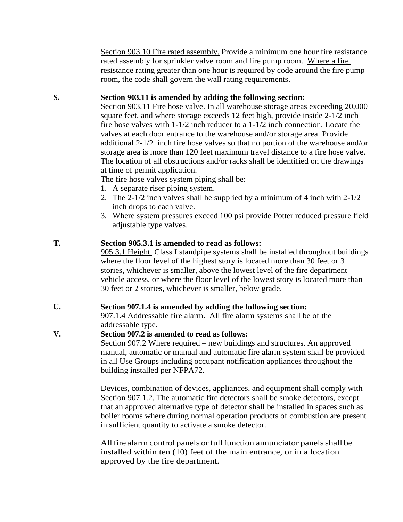Section 903.10 Fire rated assembly. Provide a minimum one hour fire resistance rated assembly for sprinkler valve room and fire pump room. Where a fire resistance rating greater than one hour is required by code around the fire pump room, the code shall govern the wall rating requirements.

#### **S. Section 903.11 is amended by adding the following section:**

Section 903.11 Fire hose valve. In all warehouse storage areas exceeding 20,000 square feet, and where storage exceeds 12 feet high, provide inside 2-1/2 inch fire hose valves with 1-1/2 inch reducer to a 1-1/2 inch connection. Locate the valves at each door entrance to the warehouse and/or storage area. Provide additional 2-1/2 inch fire hose valves so that no portion of the warehouse and/or storage area is more than 120 feet maximum travel distance to a fire hose valve. The location of all obstructions and/or racks shall be identified on the drawings at time of permit application.

The fire hose valves system piping shall be:

- 1. A separate riser piping system.
- 2. The 2-1/2 inch valves shall be supplied by a minimum of 4 inch with 2-1/2 inch drops to each valve.
- 3. Where system pressures exceed 100 psi provide Potter reduced pressure field adjustable type valves.

# **T. Section 905.3.1 is amended to read as follows:**

905.3.1 Height. Class I standpipe systems shall be installed throughout buildings where the floor level of the highest story is located more than 30 feet or 3 stories, whichever is smaller, above the lowest level of the fire department vehicle access, or where the floor level of the lowest story is located more than 30 feet or 2 stories, whichever is smaller, below grade.

# **U. Section 907.1.4 is amended by adding the following section:**

907.1.4 Addressable fire alarm. All fire alarm systems shall be of the addressable type.

#### **V. Section 907.2 is amended to read as follows:**

Section 907.2 Where required – new buildings and structures. An approved manual, automatic or manual and automatic fire alarm system shall be provided in all Use Groups including occupant notification appliances throughout the building installed per NFPA72.

Devices, combination of devices, appliances, and equipment shall comply with Section 907.1.2. The automatic fire detectors shall be smoke detectors, except that an approved alternative type of detector shall be installed in spaces such as boiler rooms where during normal operation products of combustion are present in sufficient quantity to activate a smoke detector.

All fire alarm control panels or full function annunciator panels shall be installed within ten (10) feet of the main entrance, or in a location approved by the fire department.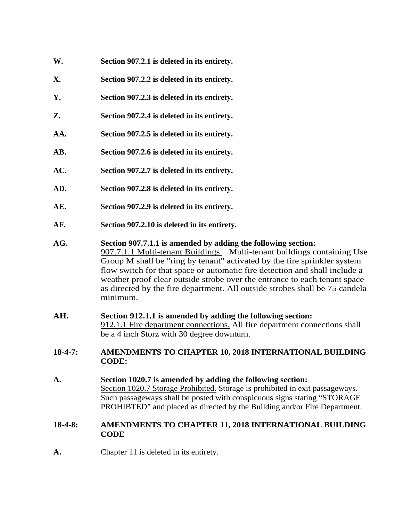- **W. Section 907.2.1 is deleted in its entirety.**
- **X. Section 907.2.2 is deleted in its entirety.**
- **Y. Section 907.2.3 is deleted in its entirety.**
- **Z. Section 907.2.4 is deleted in its entirety.**
- **AA. Section 907.2.5 is deleted in its entirety.**
- **AB. Section 907.2.6 is deleted in its entirety.**
- **AC. Section 907.2.7 is deleted in its entirety.**
- **AD. Section 907.2.8 is deleted in its entirety.**
- **AE. Section 907.2.9 is deleted in its entirety.**
- **AF. Section 907.2.10 is deleted in its entirety.**

#### **AG. Section 907.7.1.1 is amended by adding the following section:** 907.7.1.1 Multi-tenant Buildings. Multi-tenant buildings containing Use

Group M shall be "ring by tenant" activated by the fire sprinkler system flow switch for that space or automatic fire detection and shall include a weather proof clear outside strobe over the entrance to each tenant space as directed by the fire department. All outside strobes shall be 75 candela minimum.

#### **AH. Section 912.1.1 is amended by adding the following section:** 912.1.1 Fire department connections. All fire department connections shall be a 4 inch Storz with 30 degree downturn.

# **18-4-7: AMENDMENTS TO CHAPTER 10, 2018 INTERNATIONAL BUILDING CODE:**

**A. Section 1020.7 is amended by adding the following section:** Section 1020.7 Storage Prohibited. Storage is prohibited in exit passageways. Such passageways shall be posted with conspicuous signs stating "STORAGE PROHIBTED" and placed as directed by the Building and/or Fire Department.

# **18-4-8: AMENDMENTS TO CHAPTER 11, 2018 INTERNATIONAL BUILDING CODE**

**A.** Chapter 11 is deleted in its entirety.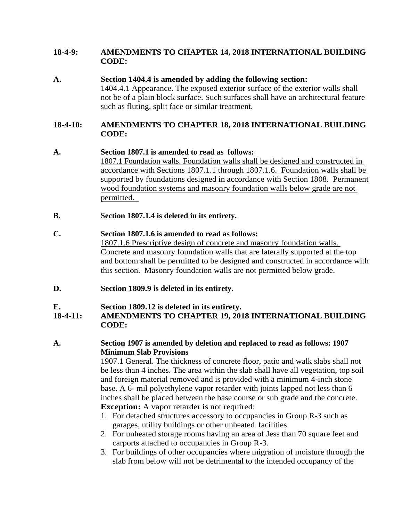# **18-4-9: AMENDMENTS TO CHAPTER 14, 2018 INTERNATIONAL BUILDING CODE:**

# **A. Section 1404.4 is amended by adding the following section:** 1404.4.1 Appearance. The exposed exterior surface of the exterior walls shall not be of a plain block surface. Such surfaces shall have an architectural feature such as fluting, split face or similar treatment.

# **18-4-10: AMENDMENTS TO CHAPTER 18, 2018 INTERNATIONAL BUILDING CODE:**

# **A. Section 1807.1 is amended to read as follows:** 1807.1 Foundation walls. Foundation walls shall be designed and constructed in accordance with Sections 1807.1.1 through 1807.1.6. Foundation walls shall be supported by foundations designed in accordance with Section 1808. Permanent wood foundation systems and masonry foundation walls below grade are not permitted.

# **B. Section 1807.1.4 is deleted in its entirety.**

# **C. Section 1807.1.6 is amended to read as follows:**

1807.1.6 Prescriptive design of concrete and masonry foundation walls. Concrete and masonry foundation walls that are laterally supported at the top and bottom shall be permitted to be designed and constructed in accordance with this section. Masonry foundation walls are not permitted below grade.

# **D. Section 1809.9 is deleted in its entirety.**

# **E. Section 1809.12 is deleted in its entirety.**

# **18-4-11: AMENDMENTS TO CHAPTER 19, 2018 INTERNATIONAL BUILDING CODE:**

# **A. Section 1907 is amended by deletion and replaced to read as follows: 1907 Minimum Slab Provisions**

1907.1 General. The thickness of concrete floor, patio and walk slabs shall not be less than 4 inches. The area within the slab shall have all vegetation, top soil and foreign material removed and is provided with a minimum 4-inch stone base. A 6- mil polyethylene vapor retarder with joints lapped not less than 6 inches shall be placed between the base course or sub grade and the concrete. **Exception:** A vapor retarder is not required:

- 1. For detached structures accessory to occupancies in Group R-3 such as garages, utility buildings or other unheated facilities.
- 2. For unheated storage rooms having an area of Jess than 70 square feet and carports attached to occupancies in Group R-3.
- 3. For buildings of other occupancies where migration of moisture through the slab from below will not be detrimental to the intended occupancy of the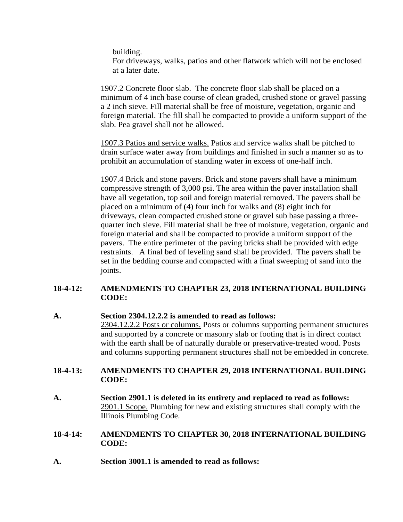building.

For driveways, walks, patios and other flatwork which will not be enclosed at a later date.

1907.2 Concrete floor slab. The concrete floor slab shall be placed on a minimum of 4 inch base course of clean graded, crushed stone or gravel passing a 2 inch sieve. Fill material shall be free of moisture, vegetation, organic and foreign material. The fill shall be compacted to provide a uniform support of the slab. Pea gravel shall not be allowed.

1907.3 Patios and service walks. Patios and service walks shall be pitched to drain surface water away from buildings and finished in such a manner so as to prohibit an accumulation of standing water in excess of one-half inch.

1907.4 Brick and stone pavers. Brick and stone pavers shall have a minimum compressive strength of 3,000 psi. The area within the paver installation shall have all vegetation, top soil and foreign material removed. The pavers shall be placed on a minimum of (4) four inch for walks and (8) eight inch for driveways, clean compacted crushed stone or gravel sub base passing a threequarter inch sieve. Fill material shall be free of moisture, vegetation, organic and foreign material and shall be compacted to provide a uniform support of the pavers. The entire perimeter of the paving bricks shall be provided with edge restraints. A final bed of leveling sand shall be provided. The pavers shall be set in the bedding course and compacted with a final sweeping of sand into the joints.

# **18-4-12: AMENDMENTS TO CHAPTER 23, 2018 INTERNATIONAL BUILDING CODE:**

# **A. Section 2304.12.2.2 is amended to read as follows:** 2304.12.2.2 Posts or columns. Posts or columns supporting permanent structures and supported by a concrete or masonry slab or footing that is in direct contact with the earth shall be of naturally durable or preservative-treated wood. Posts and columns supporting permanent structures shall not be embedded in concrete.

# **18-4-13: AMENDMENTS TO CHAPTER 29, 2018 INTERNATIONAL BUILDING CODE:**

**A. Section 2901.1 is deleted in its entirety and replaced to read as follows:**  2901.1 Scope. Plumbing for new and existing structures shall comply with the Illinois Plumbing Code.

# **18-4-14: AMENDMENTS TO CHAPTER 30, 2018 INTERNATIONAL BUILDING CODE:**

**A. Section 3001.1 is amended to read as follows:**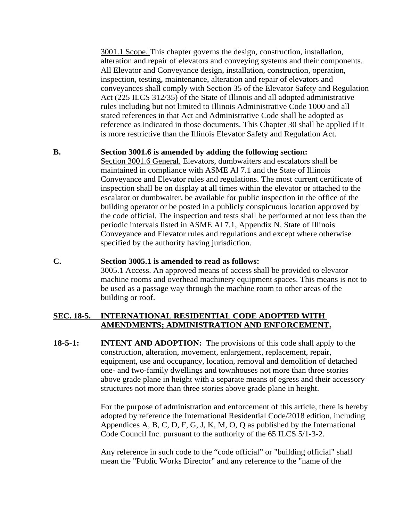3001.1 Scope. This chapter governs the design, construction, installation, alteration and repair of elevators and conveying systems and their components. All Elevator and Conveyance design, installation, construction, operation, inspection, testing, maintenance, alteration and repair of elevators and conveyances shall comply with Section 35 of the Elevator Safety and Regulation Act (225 ILCS 312/35) of the State of Illinois and all adopted administrative rules including but not limited to Illinois Administrative Code 1000 and all stated references in that Act and Administrative Code shall be adopted as reference as indicated in those documents. This Chapter 30 shall be applied if it is more restrictive than the Illinois Elevator Safety and Regulation Act.

#### **B. Section 3001.6 is amended by adding the following section:**

Section 3001.6 General. Elevators, dumbwaiters and escalators shall be maintained in compliance with ASME Al 7.1 and the State of Illinois Conveyance and Elevator rules and regulations. The most current certificate of inspection shall be on display at all times within the elevator or attached to the escalator or dumbwaiter, be available for public inspection in the office of the building operator or be posted in a publicly conspicuous location approved by the code official. The inspection and tests shall be performed at not less than the periodic intervals listed in ASME Al 7.1, Appendix N, State of Illinois Conveyance and Elevator rules and regulations and except where otherwise specified by the authority having jurisdiction.

# **C. Section 3005.1 is amended to read as follows:**

3005.1 Access. An approved means of access shall be provided to elevator machine rooms and overhead machinery equipment spaces. This means is not to be used as a passage way through the machine room to other areas of the building or roof.

# **SEC. 18-5. INTERNATIONAL RESIDENTIAL CODE ADOPTED WITH AMENDMENTS; ADMINISTRATION AND ENFORCEMENT.**

**18-5-1: INTENT AND ADOPTION:** The provisions of this code shall apply to the construction, alteration, movement, enlargement, replacement, repair, equipment, use and occupancy, location, removal and demolition of detached one- and two-family dwellings and townhouses not more than three stories above grade plane in height with a separate means of egress and their accessory structures not more than three stories above grade plane in height.

> For the purpose of administration and enforcement of this article, there is hereby adopted by reference the International Residential Code/2018 edition, including Appendices A, B, C, D, F, G, J, K, M, O, Q as published by the International Code Council Inc. pursuant to the authority of the 65 ILCS 5/1-3-2.

Any reference in such code to the "code official" or "building official" shall mean the "Public Works Director" and any reference to the "name of the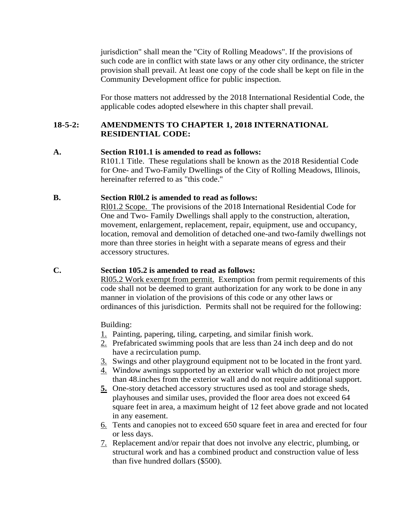jurisdiction" shall mean the "City of Rolling Meadows". If the provisions of such code are in conflict with state laws or any other city ordinance, the stricter provision shall prevail. At least one copy of the code shall be kept on file in the Community Development office for public inspection.

For those matters not addressed by the 2018 International Residential Code, the applicable codes adopted elsewhere in this chapter shall prevail.

## **18-5-2: AMENDMENTS TO CHAPTER 1, 2018 INTERNATIONAL RESIDENTIAL CODE:**

## **A. Section R101.1 is amended to read as follows:**

R101.1 Title. These regulations shall be known as the 2018 Residential Code for One- and Two-Family Dwellings of the City of Rolling Meadows, Illinois, hereinafter referred to as "this code."

### **B. Section Rl0l.2 is amended to read as follows:**

Rl01.2 Scope. The provisions of the 2018 International Residential Code for One and Two- Family Dwellings shall apply to the construction, alteration, movement, enlargement, replacement, repair, equipment, use and occupancy, location, removal and demolition of detached one-and two-family dwellings not more than three stories in height with a separate means of egress and their accessory structures.

# **C. Section 105.2 is amended to read as follows:**

Rl05.2 Work exempt from permit. Exemption from permit requirements of this code shall not be deemed to grant authorization for any work to be done in any manner in violation of the provisions of this code or any other laws or ordinances of this jurisdiction. Permits shall not be required for the following:

Building:

- 1. Painting, papering, tiling, carpeting, and similar finish work.
- 2. Prefabricated swimming pools that are less than 24 inch deep and do not have a recirculation pump.
- 3. Swings and other playground equipment not to be located in the front yard.
- 4. Window awnings supported by an exterior wall which do not project more than 48.inches from the exterior wall and do not require additional support.
- **5.** One-story detached accessory structures used as tool and storage sheds, playhouses and similar uses, provided the floor area does not exceed 64 square feet in area, a maximum height of 12 feet above grade and not located in any easement.
- 6. Tents and canopies not to exceed 650 square feet in area and erected for four or less days.
- 7. Replacement and/or repair that does not involve any electric, plumbing, or structural work and has a combined product and construction value of less than five hundred dollars (\$500).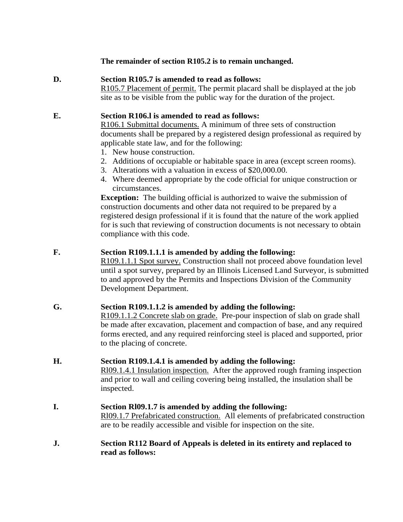# **The remainder of section R105.2 is to remain unchanged.**

#### **D. Section R105.7 is amended to read as follows:**

R105.7 Placement of permit. The permit placard shall be displayed at the job site as to be visible from the public way for the duration of the project.

### **E. Section R106.l is amended to read as follows:**

R106.1 Submittal documents. A minimum of three sets of construction documents shall be prepared by a registered design professional as required by applicable state law, and for the following:

- 1. New house construction.
- 2. Additions of occupiable or habitable space in area (except screen rooms).
- 3. Alterations with a valuation in excess of \$20,000.00.
- 4. Where deemed appropriate by the code official for unique construction or circumstances.

**Exception:** The building official is authorized to waive the submission of construction documents and other data not required to be prepared by a registered design professional if it is found that the nature of the work applied for is such that reviewing of construction documents is not necessary to obtain compliance with this code.

### **F. Section R109.1.1.1 is amended by adding the following:**

R109.1.1.1 Spot survey. Construction shall not proceed above foundation level until a spot survey, prepared by an Illinois Licensed Land Surveyor, is submitted to and approved by the Permits and Inspections Division of the Community Development Department.

#### **G. Section R109.1.1.2 is amended by adding the following:**

R109.1.1.2 Concrete slab on grade. Pre-pour inspection of slab on grade shall be made after excavation, placement and compaction of base, and any required forms erected, and any required reinforcing steel is placed and supported, prior to the placing of concrete.

#### **H. Section R109.1.4.1 is amended by adding the following:**

Rl09.1.4.1 Insulation inspection. After the approved rough framing inspection and prior to wall and ceiling covering being installed, the insulation shall be inspected.

#### **I. Section Rl09.1.7 is amended by adding the following:**

Rl09.1.7 Prefabricated construction. All elements of prefabricated construction are to be readily accessible and visible for inspection on the site.

### **J. Section R112 Board of Appeals is deleted in its entirety and replaced to read as follows:**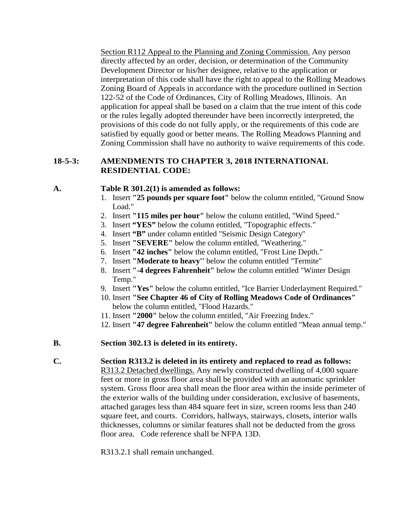Section R112 Appeal to the Planning and Zoning Commission. Any person directly affected by an order, decision, or determination of the Community Development Director or his/her designee, relative to the application or interpretation of this code shall have the right to appeal to the Rolling Meadows Zoning Board of Appeals in accordance with the procedure outlined in Section 122-52 of the Code of Ordinances, City of Rolling Meadows, Illinois. An application for appeal shall be based on a claim that the true intent of this code or the rules legally adopted thereunder have been incorrectly interpreted, the provisions of this code do not fully apply, or the requirements of this code are satisfied by equally good or better means. The Rolling Meadows Planning and Zoning Commission shall have no authority to waive requirements of this code.

# **18-5-3: AMENDMENTS TO CHAPTER 3, 2018 INTERNATIONAL RESIDENTIAL CODE:**

### **A. Table R 301.2(1) is amended as follows:**

- 1. Insert **"25 pounds per square foot"** below the column entitled, "Ground Snow Load."
- 2. Insert **"115 miles per hour"** below the column entitled, "Wind Speed."
- 3. Insert **"YES"** below the column entitled, "Topographic effects."
- 4. Insert **"B"** under column entitled "Seismic Design Category''
- 5. Insert **"SEVERE"** below the column entitled, "Weathering."
- 6. Insert **"42 inches"** below the column entitled, "Frost Line Depth."
- 7. Insert **"Moderate to heavy''** below the column entitled "Termite"
- 8. Insert **"-4 degrees Fahrenheit"** below the column entitled "Winter Design Temp."
- 9. Insert **"Yes"** below the column entitled, "Ice Barrier Underlayment Required."
- 10. Insert **"See Chapter 46 of City of Rolling Meadows Code of Ordinances"** below the column entitled, "Flood Hazards."
- 11. Insert **"2000"** below the column entitled, "Air Freezing Index."
- 12. Insert **"47 degree Fahrenheit"** below the column entitled "Mean annual temp."

#### **B. Section 302.13 is deleted in its entirety.**

**C. Section R313.2 is deleted in its entirety and replaced to read as follows:**  R313.2 Detached dwellings. Any newly constructed dwelling of 4,000 square feet or more in gross floor area shall be provided with an automatic sprinkler system. Gross floor area shall mean the floor area within the inside perimeter of the exterior walls of the building under consideration, exclusive of basements, attached garages less than 484 square feet in size, screen rooms less than 240 square feet, and courts. Corridors, hallways, stairways, closets, interior walls thicknesses, columns or similar features shall not be deducted from the gross floor area. Code reference shall be NFPA 13D.

R313.2.1 shall remain unchanged.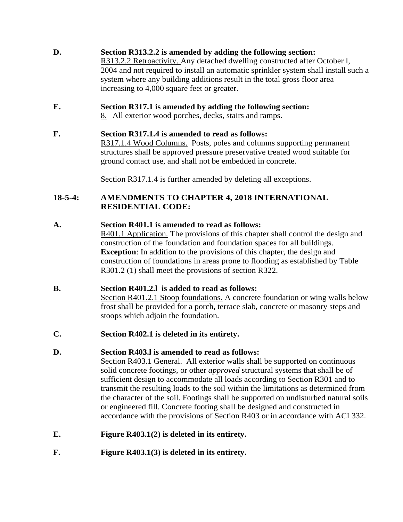**D. Section R313.2.2 is amended by adding the following section:**

R313.2.2 Retroactivity. Any detached dwelling constructed after October l, 2004 and not required to install an automatic sprinkler system shall install such a system where any building additions result in the total gross floor area increasing to 4,000 square feet or greater.

# **E. Section R317.1 is amended by adding the following section:**

8. All exterior wood porches, decks, stairs and ramps.

# **F. Section R317.1.4 is amended to read as follows:**

R317.1.4 Wood Columns. Posts, poles and columns supporting permanent structures shall be approved pressure preservative treated wood suitable for ground contact use, and shall not be embedded in concrete.

Section R317.1.4 is further amended by deleting all exceptions.

# **18-5-4: AMENDMENTS TO CHAPTER 4, 2018 INTERNATIONAL RESIDENTIAL CODE:**

# **A. Section R401.1 is amended to read as follows:**

R401.1 Application. The provisions of this chapter shall control the design and construction of the foundation and foundation spaces for all buildings. **Exception**: In addition to the provisions of this chapter, the design and construction of foundations in areas prone to flooding as established by Table R301.2 (1) shall meet the provisions of section R322.

# **B. Section R401.2.l is added to read as follows:**

Section R401.2.1 Stoop foundations. A concrete foundation or wing walls below frost shall be provided for a porch, terrace slab, concrete or masonry steps and stoops which adjoin the foundation.

# **C. Section R402.1 is deleted in its entirety.**

# **D. Section R403.l is amended to read as follows:**

Section R403.1 General. All exterior walls shall be supported on continuous solid concrete footings, or other *approved* structural systems that shall be of sufficient design to accommodate all loads according to Section R301 and to transmit the resulting loads to the soil within the limitations as determined from the character of the soil. Footings shall be supported on undisturbed natural soils or engineered fill. Concrete footing shall be designed and constructed in accordance with the provisions of Section R403 or in accordance with ACI 332.

# **E. Figure R403.1(2) is deleted in its entirety.**

**F. Figure R403.1(3) is deleted in its entirety.**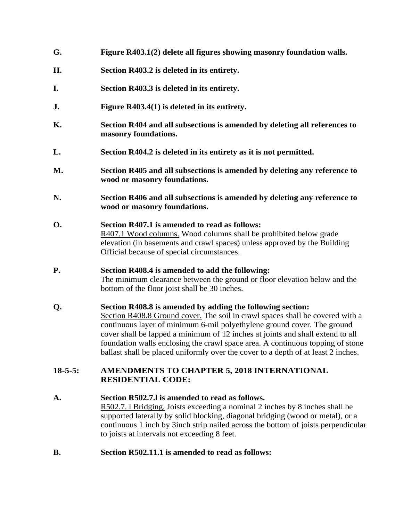- **G. Figure R403.1(2) delete all figures showing masonry foundation walls.**
- **H. Section R403.2 is deleted in its entirety.**
- **I. Section R403.3 is deleted in its entirety.**
- **J. Figure R403.4(1) is deleted in its entirety.**
- **K. Section R404 and all subsections is amended by deleting all references to masonry foundations.**
- **L. Section R404.2 is deleted in its entirety as it is not permitted.**
- **M. Section R405 and all subsections is amended by deleting any reference to wood or masonry foundations.**
- **N. Section R406 and all subsections is amended by deleting any reference to wood or masonry foundations.**

#### **O. Section R407.1 is amended to read as follows:**

R407.1 Wood columns. Wood columns shall be prohibited below grade elevation (in basements and crawl spaces) unless approved by the Building Official because of special circumstances.

#### **P. Section R408.4 is amended to add the following:** The minimum clearance between the ground or floor elevation below and the bottom of the floor joist shall be 30 inches.

# **Q. Section R408.8 is amended by adding the following section:**

Section R408.8 Ground cover. The soil in crawl spaces shall be covered with a continuous layer of minimum 6-mil polyethylene ground cover. The ground cover shall be lapped a minimum of 12 inches at joints and shall extend to all foundation walls enclosing the crawl space area. A continuous topping of stone ballast shall be placed uniformly over the cover to a depth of at least 2 inches.

### **18-5-5: AMENDMENTS TO CHAPTER 5, 2018 INTERNATIONAL RESIDENTIAL CODE:**

# **A. Section R502.7.l is amended to read as follows.**

R502.7. l Bridging. Joists exceeding a nominal 2 inches by 8 inches shall be supported laterally by solid blocking, diagonal bridging (wood or metal), or a continuous 1 inch by 3inch strip nailed across the bottom of joists perpendicular to joists at intervals not exceeding 8 feet.

# **B. Section R502.11.1 is amended to read as follows:**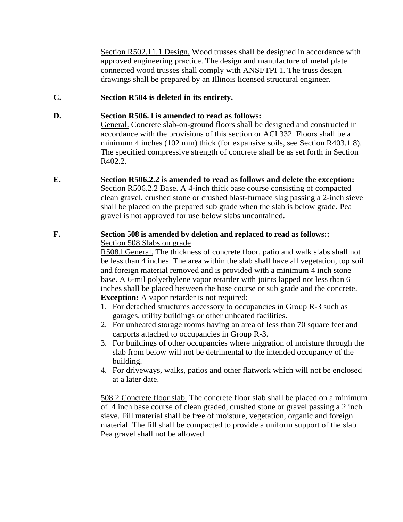Section R502.11.1 Design. Wood trusses shall be designed in accordance with approved engineering practice. The design and manufacture of metal plate connected wood trusses shall comply with ANSI/TPI 1. The truss design drawings shall be prepared by an Illinois licensed structural engineer.

# **C. Section R504 is deleted in its entirety.**

### **D. Section R506. l is amended to read as follows:**

General. Concrete slab-on-ground floors shall be designed and constructed in accordance with the provisions of this section or ACI 332. Floors shall be a minimum 4 inches (102 mm) thick (for expansive soils, see Section R403.1.8). The specified compressive strength of concrete shall be as set forth in Section R402.2.

### **E. Section R506.2.2 is amended to read as follows and delete the exception:**

Section R506.2.2 Base. A 4-inch thick base course consisting of compacted clean gravel, crushed stone or crushed blast-furnace slag passing a 2-inch sieve shall be placed on the prepared sub grade when the slab is below grade. Pea gravel is not approved for use below slabs uncontained.

#### **F. Section 508 is amended by deletion and replaced to read as follows::**  Section 508 Slabs on grade

R508.l General. The thickness of concrete floor, patio and walk slabs shall not be less than 4 inches. The area within the slab shall have all vegetation, top soil and foreign material removed and is provided with a minimum 4 inch stone base. A 6-mil polyethylene vapor retarder with joints lapped not less than 6 inches shall be placed between the base course or sub grade and the concrete. **Exception:** A vapor retarder is not required:

- 1. For detached structures accessory to occupancies in Group R-3 such as garages, utility buildings or other unheated facilities.
- 2. For unheated storage rooms having an area of less than 70 square feet and carports attached to occupancies in Group R-3.
- 3. For buildings of other occupancies where migration of moisture through the slab from below will not be detrimental to the intended occupancy of the building.
- 4. For driveways, walks, patios and other flatwork which will not be enclosed at a later date.

508.2 Concrete floor slab. The concrete floor slab shall be placed on a minimum of 4 inch base course of clean graded, crushed stone or gravel passing a 2 inch sieve. Fill material shall be free of moisture, vegetation, organic and foreign material. The fill shall be compacted to provide a uniform support of the slab. Pea gravel shall not be allowed.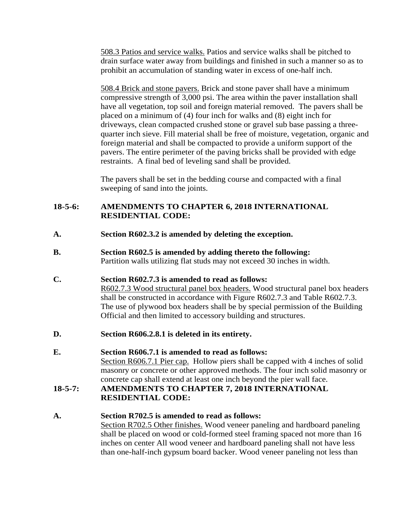508.3 Patios and service walks. Patios and service walks shall be pitched to drain surface water away from buildings and finished in such a manner so as to prohibit an accumulation of standing water in excess of one-half inch.

508.4 Brick and stone pavers. Brick and stone paver shall have a minimum compressive strength of 3,000 psi. The area within the paver installation shall have all vegetation, top soil and foreign material removed. The pavers shall be placed on a minimum of (4) four inch for walks and (8) eight inch for driveways, clean compacted crushed stone or gravel sub base passing a threequarter inch sieve. Fill material shall be free of moisture, vegetation, organic and foreign material and shall be compacted to provide a uniform support of the pavers. The entire perimeter of the paving bricks shall be provided with edge restraints. A final bed of leveling sand shall be provided.

The pavers shall be set in the bedding course and compacted with a final sweeping of sand into the joints.

# **18-5-6: AMENDMENTS TO CHAPTER 6, 2018 INTERNATIONAL RESIDENTIAL CODE:**

- **A. Section R602.3.2 is amended by deleting the exception.**
- **B. Section R602.5 is amended by adding thereto the following:** Partition walls utilizing flat studs may not exceed 30 inches in width.

#### **C. Section R602.7.3 is amended to read as follows:**

R602.7.3 Wood structural panel box headers. Wood structural panel box headers shall be constructed in accordance with Figure R602.7.3 and Table R602.7.3. The use of plywood box headers shall be by special permission of the Building Official and then limited to accessory building and structures.

- **D. Section R606.2.8.1 is deleted in its entirety.**
- **E. Section R606.7.1 is amended to read as follows:** Section R606.7.1 Pier cap. Hollow piers shall be capped with 4 inches of solid masonry or concrete or other approved methods. The four inch solid masonry or concrete cap shall extend at least one inch beyond the pier wall face.

# **18-5-7: AMENDMENTS TO CHAPTER 7, 2018 INTERNATIONAL RESIDENTIAL CODE:**

# **A. Section R702.5 is amended to read as follows:**

Section R702.5 Other finishes. Wood veneer paneling and hardboard paneling shall be placed on wood or cold-formed steel framing spaced not more than 16 inches on center All wood veneer and hardboard paneling shall not have less than one-half-inch gypsum board backer. Wood veneer paneling not less than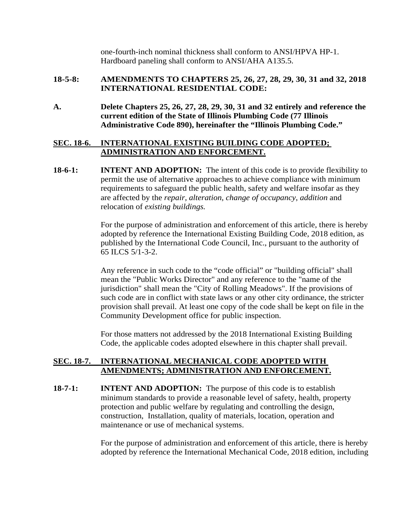one-fourth-inch nominal thickness shall conform to ANSI/HPVA HP-1. Hardboard paneling shall conform to ANSI/AHA A135.5.

# **18-5-8: AMENDMENTS TO CHAPTERS 25, 26, 27, 28, 29, 30, 31 and 32, 2018 INTERNATIONAL RESIDENTIAL CODE:**

**A. Delete Chapters 25, 26, 27, 28, 29, 30, 31 and 32 entirely and reference the current edition of the State of Illinois Plumbing Code (77 Illinois Administrative Code 890), hereinafter the "Illinois Plumbing Code."** 

### **SEC. 18-6. INTERNATIONAL EXISTING BUILDING CODE ADOPTED; ADMINISTRATION AND ENFORCEMENT.**

**18-6-1: INTENT AND ADOPTION:** The intent of this code is to provide flexibility to permit the use of alternative approaches to achieve compliance with minimum requirements to safeguard the public health, safety and welfare insofar as they are affected by the *repair*, *alteration*, *change of occupancy*, *addition* and relocation of *existing buildings.*

> For the purpose of administration and enforcement of this article, there is hereby adopted by reference the International Existing Building Code, 2018 edition, as published by the International Code Council, Inc., pursuant to the authority of 65 ILCS 5/1-3-2.

Any reference in such code to the "code official" or "building official" shall mean the "Public Works Director" and any reference to the "name of the jurisdiction" shall mean the "City of Rolling Meadows". If the provisions of such code are in conflict with state laws or any other city ordinance, the stricter provision shall prevail. At least one copy of the code shall be kept on file in the Community Development office for public inspection.

For those matters not addressed by the 2018 International Existing Building Code, the applicable codes adopted elsewhere in this chapter shall prevail.

### **SEC. 18-7. INTERNATIONAL MECHANICAL CODE ADOPTED WITH AMENDMENTS; ADMINISTRATION AND ENFORCEMENT.**

**18-7-1: INTENT AND ADOPTION:** The purpose of this code is to establish minimum standards to provide a reasonable level of safety, health, property protection and public welfare by regulating and controlling the design, construction, Installation, quality of materials, location, operation and maintenance or use of mechanical systems.

> For the purpose of administration and enforcement of this article, there is hereby adopted by reference the International Mechanical Code, 2018 edition, including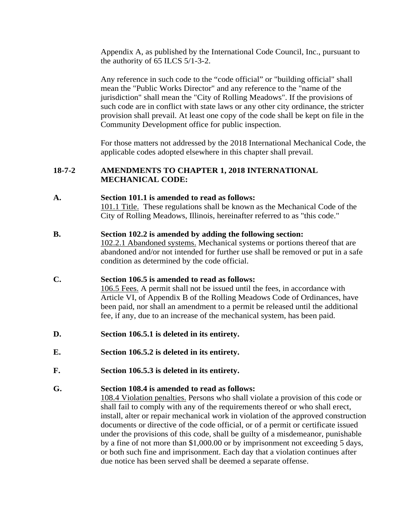Appendix A, as published by the International Code Council, Inc., pursuant to the authority of 65 ILCS 5/1-3-2.

Any reference in such code to the "code official" or "building official" shall mean the "Public Works Director" and any reference to the "name of the jurisdiction" shall mean the "City of Rolling Meadows". If the provisions of such code are in conflict with state laws or any other city ordinance, the stricter provision shall prevail. At least one copy of the code shall be kept on file in the Community Development office for public inspection.

For those matters not addressed by the 2018 International Mechanical Code, the applicable codes adopted elsewhere in this chapter shall prevail.

# **18-7-2 AMENDMENTS TO CHAPTER 1, 2018 INTERNATIONAL MECHANICAL CODE:**

### **A. Section 101.1 is amended to read as follows:**

101.1 Title. These regulations shall be known as the Mechanical Code of the City of Rolling Meadows, Illinois, hereinafter referred to as "this code."

#### **B. Section 102.2 is amended by adding the following section:**

102.2.1 Abandoned systems. Mechanical systems or portions thereof that are abandoned and/or not intended for further use shall be removed or put in a safe condition as determined by the code official.

# **C. Section 106.5 is amended to read as follows:**

106.5 Fees. A permit shall not be issued until the fees, in accordance with Article VI, of Appendix B of the Rolling Meadows Code of Ordinances, have been paid, nor shall an amendment to a permit be released until the additional fee, if any, due to an increase of the mechanical system, has been paid.

- **D. Section 106.5.1 is deleted in its entirety.**
- **E. Section 106.5.2 is deleted in its entirety.**
- **F. Section 106.5.3 is deleted in its entirety.**

# **G. Section 108.4 is amended to read as follows:**

108.4 Violation penalties. Persons who shall violate a provision of this code or shall fail to comply with any of the requirements thereof or who shall erect, install, alter or repair mechanical work in violation of the approved construction documents or directive of the code official, or of a permit or certificate issued under the provisions of this code, shall be guilty of a misdemeanor, punishable by a fine of not more than \$1,000.00 or by imprisonment not exceeding 5 days, or both such fine and imprisonment. Each day that a violation continues after due notice has been served shall be deemed a separate offense.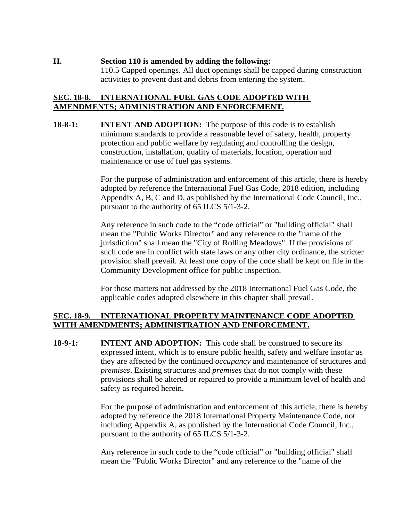# **H. Section 110 is amended by adding the following:** 110.5 Capped openings. All duct openings shall be capped during construction activities to prevent dust and debris from entering the system.

## **SEC. 18-8. INTERNATIONAL FUEL GAS CODE ADOPTED WITH AMENDMENTS; ADMINISTRATION AND ENFORCEMENT.**

**18-8-1: INTENT AND ADOPTION:** The purpose of this code is to establish minimum standards to provide a reasonable level of safety, health, property protection and public welfare by regulating and controlling the design, construction, installation, quality of materials, location, operation and maintenance or use of fuel gas systems.

> For the purpose of administration and enforcement of this article, there is hereby adopted by reference the International Fuel Gas Code, 2018 edition, including Appendix A, B, C and D, as published by the International Code Council, Inc., pursuant to the authority of 65 ILCS 5/1-3-2.

Any reference in such code to the "code official" or "building official" shall mean the "Public Works Director" and any reference to the "name of the jurisdiction" shall mean the "City of Rolling Meadows". If the provisions of such code are in conflict with state laws or any other city ordinance, the stricter provision shall prevail. At least one copy of the code shall be kept on file in the Community Development office for public inspection.

For those matters not addressed by the 2018 International Fuel Gas Code, the applicable codes adopted elsewhere in this chapter shall prevail.

# **SEC. 18-9. INTERNATIONAL PROPERTY MAINTENANCE CODE ADOPTED WITH AMENDMENTS; ADMINISTRATION AND ENFORCEMENT.**

**18-9-1: INTENT AND ADOPTION:** This code shall be construed to secure its expressed intent, which is to ensure public health, safety and welfare insofar as they are affected by the continued *occupancy* and maintenance of structures and *premises*. Existing structures and *premises* that do not comply with these provisions shall be altered or repaired to provide a minimum level of health and safety as required herein.

> For the purpose of administration and enforcement of this article, there is hereby adopted by reference the 2018 International Property Maintenance Code, not including Appendix A, as published by the International Code Council, Inc., pursuant to the authority of 65 ILCS 5/1-3-2.

Any reference in such code to the "code official" or "building official" shall mean the "Public Works Director" and any reference to the "name of the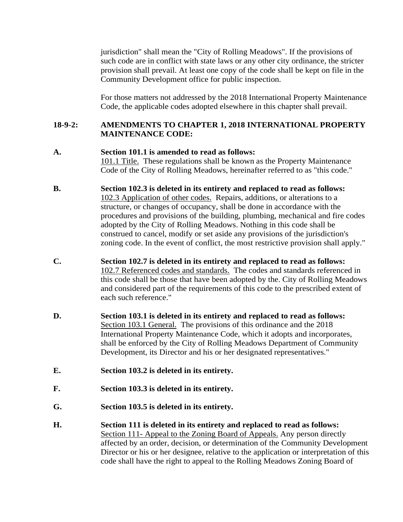jurisdiction" shall mean the "City of Rolling Meadows". If the provisions of such code are in conflict with state laws or any other city ordinance, the stricter provision shall prevail. At least one copy of the code shall be kept on file in the Community Development office for public inspection.

For those matters not addressed by the 2018 International Property Maintenance Code, the applicable codes adopted elsewhere in this chapter shall prevail.

# **18-9-2: AMENDMENTS TO CHAPTER 1, 2018 INTERNATIONAL PROPERTY MAINTENANCE CODE:**

#### **A. Section 101.1 is amended to read as follows:**

101.1 Title. These regulations shall be known as the Property Maintenance Code of the City of Rolling Meadows, hereinafter referred to as "this code."

- **B. Section 102.3 is deleted in its entirety and replaced to read as follows:**  102.3 Application of other codes. Repairs, additions, or alterations to a structure, or changes of occupancy, shall be done in accordance with the procedures and provisions of the building, plumbing, mechanical and fire codes adopted by the City of Rolling Meadows. Nothing in this code shall be construed to cancel, modify or set aside any provisions of the jurisdiction's zoning code. In the event of conflict, the most restrictive provision shall apply."
- **C. Section 102.7 is deleted in its entirety and replaced to read as follows:**  102.7 Referenced codes and standards. The codes and standards referenced in this code shall be those that have been adopted by the. City of Rolling Meadows and considered part of the requirements of this code to the prescribed extent of each such reference."
- **D. Section 103.1 is deleted in its entirety and replaced to read as follows:**  Section 103.1 General. The provisions of this ordinance and the 2018 International Property Maintenance Code, which it adopts and incorporates, shall be enforced by the City of Rolling Meadows Department of Community Development, its Director and his or her designated representatives."
- **E. Section 103.2 is deleted in its entirety.**
- **F. Section 103.3 is deleted in its entirety.**
- **G. Section 103.5 is deleted in its entirety.**
- **H. Section 111 is deleted in its entirety and replaced to read as follows:**  Section 111- Appeal to the Zoning Board of Appeals. Any person directly affected by an order, decision, or determination of the Community Development Director or his or her designee, relative to the application or interpretation of this code shall have the right to appeal to the Rolling Meadows Zoning Board of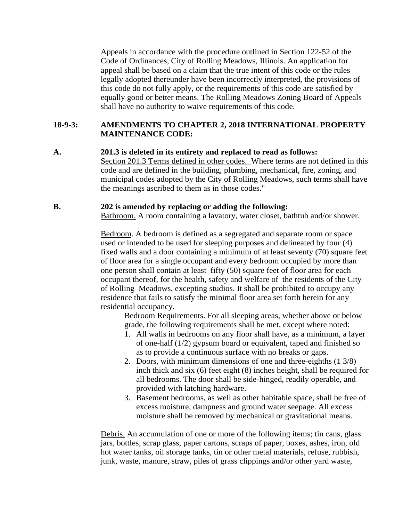Appeals in accordance with the procedure outlined in Section 122-52 of the Code of Ordinances, City of Rolling Meadows, Illinois. An application for appeal shall be based on a claim that the true intent of this code or the rules legally adopted thereunder have been incorrectly interpreted, the provisions of this code do not fully apply, or the requirements of this code are satisfied by equally good or better means. The Rolling Meadows Zoning Board of Appeals shall have no authority to waive requirements of this code.

#### **18-9-3: AMENDMENTS TO CHAPTER 2, 2018 INTERNATIONAL PROPERTY MAINTENANCE CODE:**

**A. 201.3 is deleted in its entirety and replaced to read as follows:**  Section 201.3 Terms defined in other codes. Where terms are not defined in this code and are defined in the building, plumbing, mechanical, fire, zoning, and municipal codes adopted by the City of Rolling Meadows, such terms shall have the meanings ascribed to them as in those codes."

#### **B. 202 is amended by replacing or adding the following:**

Bathroom. A room containing a lavatory, water closet, bathtub and/or shower.

Bedroom. A bedroom is defined as a segregated and separate room or space used or intended to be used for sleeping purposes and delineated by four (4) fixed walls and a door containing a minimum of at least seventy (70) square feet of floor area for a single occupant and every bedroom occupied by more than one person shall contain at least fifty (50) square feet of floor area for each occupant thereof, for the health, safety and welfare of the residents of the City of Rolling Meadows, excepting studios. It shall be prohibited to occupy any residence that fails to satisfy the minimal floor area set forth herein for any residential occupancy.

Bedroom Requirements. For all sleeping areas, whether above or below grade, the following requirements shall be met, except where noted:

- 1. All walls in bedrooms on any floor shall have, as a minimum, a layer of one-half (1/2) gypsum board or equivalent, taped and finished so as to provide a continuous surface with no breaks or gaps.
- 2. Doors, with minimum dimensions of one and three-eighths (1 3/8) inch thick and six (6) feet eight (8) inches height, shall be required for all bedrooms. The door shall be side-hinged, readily operable, and provided with latching hardware.
- 3. Basement bedrooms, as well as other habitable space, shall be free of excess moisture, dampness and ground water seepage. All excess moisture shall be removed by mechanical or gravitational means.

Debris. An accumulation of one or more of the following items; tin cans, glass jars, bottles, scrap glass, paper cartons, scraps of paper, boxes, ashes, iron, old hot water tanks, oil storage tanks, tin or other metal materials, refuse, rubbish, junk, waste, manure, straw, piles of grass clippings and/or other yard waste,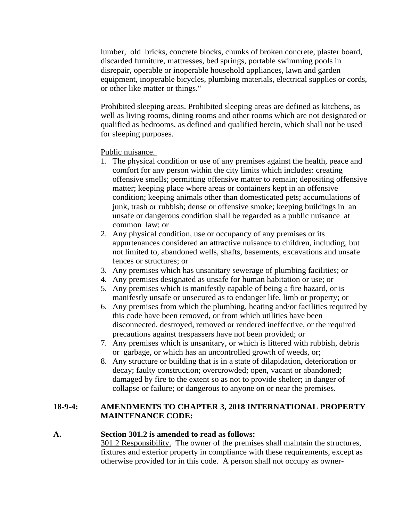lumber, old bricks, concrete blocks, chunks of broken concrete, plaster board, discarded furniture, mattresses, bed springs, portable swimming pools in disrepair, operable or inoperable household appliances, lawn and garden equipment, inoperable bicycles, plumbing materials, electrical supplies or cords, or other like matter or things."

Prohibited sleeping areas. Prohibited sleeping areas are defined as kitchens, as well as living rooms, dining rooms and other rooms which are not designated or qualified as bedrooms, as defined and qualified herein, which shall not be used for sleeping purposes.

Public nuisance.

- 1. The physical condition or use of any premises against the health, peace and comfort for any person within the city limits which includes: creating offensive smells; permitting offensive matter to remain; depositing offensive matter; keeping place where areas or containers kept in an offensive condition; keeping animals other than domesticated pets; accumulations of junk, trash or rubbish; dense or offensive smoke; keeping buildings in an unsafe or dangerous condition shall be regarded as a public nuisance at common law; or
- 2. Any physical condition, use or occupancy of any premises or its appurtenances considered an attractive nuisance to children, including, but not limited to, abandoned wells, shafts, basements, excavations and unsafe fences or structures; or
- 3. Any premises which has unsanitary sewerage of plumbing facilities; or
- 4. Any premises designated as unsafe for human habitation or use; or
- 5. Any premises which is manifestly capable of being a fire hazard, or is manifestly unsafe or unsecured as to endanger life, limb or property; or
- 6. Any premises from which the plumbing, heating and/or facilities required by this code have been removed, or from which utilities have been disconnected, destroyed, removed or rendered ineffective, or the required precautions against trespassers have not been provided; or
- 7. Any premises which is unsanitary, or which is littered with rubbish, debris or garbage, or which has an uncontrolled growth of weeds, or;
- 8. Any structure or building that is in a state of dilapidation, deterioration or decay; faulty construction; overcrowded; open, vacant or abandoned; damaged by fire to the extent so as not to provide shelter; in danger of collapse or failure; or dangerous to anyone on or near the premises.

# **18-9-4: AMENDMENTS TO CHAPTER 3, 2018 INTERNATIONAL PROPERTY MAINTENANCE CODE:**

#### **A. Section 301.2 is amended to read as follows:**

301.2 Responsibility. The owner of the premises shall maintain the structures, fixtures and exterior property in compliance with these requirements, except as otherwise provided for in this code. A person shall not occupy as owner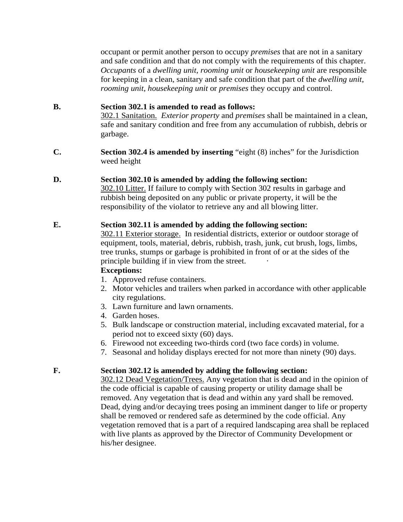occupant or permit another person to occupy *premises* that are not in a sanitary and safe condition and that do not comply with the requirements of this chapter. *Occupants* of a *dwelling unit*, *rooming unit* or *housekeeping unit* are responsible for keeping in a clean, sanitary and safe condition that part of the *dwelling unit*, *rooming unit*, *housekeeping unit* or *premises* they occupy and control.

# **B. Section 302.1 is amended to read as follows:**

302.1 Sanitation. *Exterior property* and *premises* shall be maintained in a clean, safe and sanitary condition and free from any accumulation of rubbish, debris or garbage.

**C. Section 302.4 is amended by inserting** "eight (8) inches" for the Jurisdiction weed height

### **D. Section 302.10 is amended by adding the following section:**

302.10 Litter. If failure to comply with Section 302 results in garbage and rubbish being deposited on any public or private property, it will be the responsibility of the violator to retrieve any and all blowing litter.

### **E. Section 302.11 is amended by adding the following section:**

302.11 Exterior storage. In residential districts, exterior or outdoor storage of equipment, tools, material, debris, rubbish, trash, junk, cut brush, logs, limbs, tree trunks, stumps or garbage is prohibited in front of or at the sides of the principle building if in view from the street.

#### **Exceptions:**

- 1. Approved refuse containers.
- 2. Motor vehicles and trailers when parked in accordance with other applicable city regulations.
- 3. Lawn furniture and lawn ornaments.
- 4. Garden hoses.
- 5. Bulk landscape or construction material, including excavated material, for a period not to exceed sixty (60) days.
- 6. Firewood not exceeding two-thirds cord (two face cords) in volume.
- 7. Seasonal and holiday displays erected for not more than ninety (90) days.

#### **F. Section 302.12 is amended by adding the following section:**

302.12 Dead Vegetation/Trees. Any vegetation that is dead and in the opinion of the code official is capable of causing property or utility damage shall be removed. Any vegetation that is dead and within any yard shall be removed. Dead, dying and/or decaying trees posing an imminent danger to life or property shall be removed or rendered safe as determined by the code official. Any vegetation removed that is a part of a required landscaping area shall be replaced with live plants as approved by the Director of Community Development or his/her designee.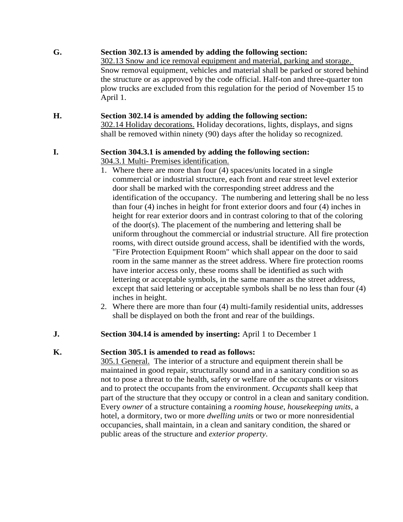#### **G. Section 302.13 is amended by adding the following section:**

302.13 Snow and ice removal equipment and material, parking and storage. Snow removal equipment, vehicles and material shall be parked or stored behind the structure or as approved by the code official. Half-ton and three-quarter ton plow trucks are excluded from this regulation for the period of November 15 to April 1.

### **H. Section 302.14 is amended by adding the following section:**

302.14 Holiday decorations. Holiday decorations, lights, displays, and signs shall be removed within ninety (90) days after the holiday so recognized.

# **I. Section 304.3.1 is amended by adding the following section:**

304.3.1 Multi- Premises identification.

- 1. Where there are more than four (4) spaces/units located in a single commercial or industrial structure, each front and rear street level exterior door shall be marked with the corresponding street address and the identification of the occupancy. The numbering and lettering shall be no less than four (4) inches in height for front exterior doors and four (4) inches in height for rear exterior doors and in contrast coloring to that of the coloring of the door(s). The placement of the numbering and lettering shall be uniform throughout the commercial or industrial structure. All fire protection rooms, with direct outside ground access, shall be identified with the words, "Fire Protection Equipment Room" which shall appear on the door to said room in the same manner as the street address. Where fire protection rooms have interior access only, these rooms shall be identified as such with lettering or acceptable symbols, in the same manner as the street address, except that said lettering or acceptable symbols shall be no less than four (4) inches in height.
- 2. Where there are more than four (4) multi-family residential units, addresses shall be displayed on both the front and rear of the buildings.

# **J. Section 304.14 is amended by inserting:** April 1 to December 1

#### **K. Section 305.1 is amended to read as follows:**

305.1 General. The interior of a structure and equipment therein shall be maintained in good repair, structurally sound and in a sanitary condition so as not to pose a threat to the health, safety or welfare of the occupants or visitors and to protect the occupants from the environment. *Occupants* shall keep that part of the structure that they occupy or control in a clean and sanitary condition. Every *owner* of a structure containing a *rooming house*, *housekeeping units*, a hotel, a dormitory, two or more *dwelling unit*s or two or more nonresidential occupancies, shall maintain, in a clean and sanitary condition, the shared or public areas of the structure and *exterior property*.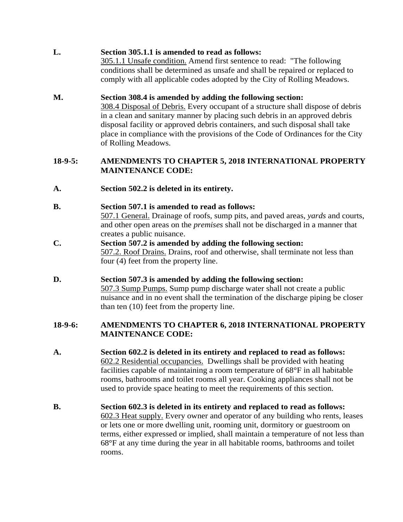# **L. Section 305.1.1 is amended to read as follows:**

305.1.1 Unsafe condition. Amend first sentence to read: "The following conditions shall be determined as unsafe and shall be repaired or replaced to comply with all applicable codes adopted by the City of Rolling Meadows.

### **M. Section 308.4 is amended by adding the following section:**

308.4 Disposal of Debris. Every occupant of a structure shall dispose of debris in a clean and sanitary manner by placing such debris in an approved debris disposal facility or approved debris containers, and such disposal shall take place in compliance with the provisions of the Code of Ordinances for the City of Rolling Meadows.

# **18-9-5: AMENDMENTS TO CHAPTER 5, 2018 INTERNATIONAL PROPERTY MAINTENANCE CODE:**

### **A. Section 502.2 is deleted in its entirety.**

#### **B. Section 507.1 is amended to read as follows:**

507.1 General. Drainage of roofs, sump pits, and paved areas, *yards* and courts, and other open areas on the *premises* shall not be discharged in a manner that creates a public nuisance.

- **C. Section 507.2 is amended by adding the following section:** 507.2. Roof Drains. Drains, roof and otherwise, shall terminate not less than four (4) feet from the property line.
- **D. Section 507.3 is amended by adding the following section:**  507.3 Sump Pumps. Sump pump discharge water shall not create a public nuisance and in no event shall the termination of the discharge piping be closer than ten (10) feet from the property line.

### **18-9-6: AMENDMENTS TO CHAPTER 6, 2018 INTERNATIONAL PROPERTY MAINTENANCE CODE:**

- **A. Section 602.2 is deleted in its entirety and replaced to read as follows:**  602.2 Residential occupancies. Dwellings shall be provided with heating facilities capable of maintaining a room temperature of 68°F in all habitable rooms, bathrooms and toilet rooms all year. Cooking appliances shall not be used to provide space heating to meet the requirements of this section.
- **B. Section 602.3 is deleted in its entirety and replaced to read as follows:**  602.3 Heat supply. Every owner and operator of any building who rents, leases or lets one or more dwelling unit, rooming unit, dormitory or guestroom on terms, either expressed or implied, shall maintain a temperature of not less than 68°F at any time during the year in all habitable rooms, bathrooms and toilet rooms.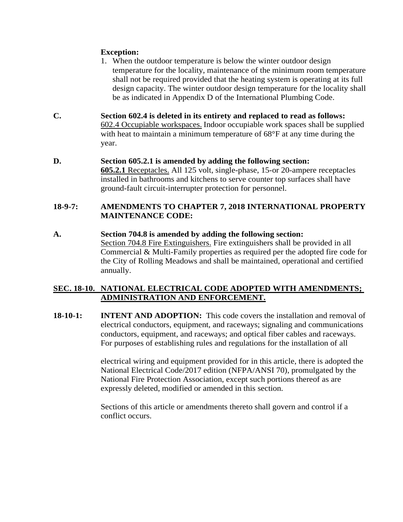#### **Exception:**

- 1. When the outdoor temperature is below the winter outdoor design temperature for the locality, maintenance of the minimum room temperature shall not be required provided that the heating system is operating at its full design capacity. The winter outdoor design temperature for the locality shall be as indicated in Appendix D of the International Plumbing Code.
- **C. Section 602.4 is deleted in its entirety and replaced to read as follows:** 602.4 Occupiable workspaces. Indoor occupiable work spaces shall be supplied with heat to maintain a minimum temperature of 68°F at any time during the year.
- **D. Section 605.2.1 is amended by adding the following section: 605.2.1** Receptacles. All 125 volt, single-phase, 15-or 20-ampere receptacles installed in bathrooms and kitchens to serve counter top surfaces shall have ground-fault circuit-interrupter protection for personnel.

### **18-9-7: AMENDMENTS TO CHAPTER 7, 2018 INTERNATIONAL PROPERTY MAINTENANCE CODE:**

#### **A. Section 704.8 is amended by adding the following section:**

Section 704.8 Fire Extinguishers. Fire extinguishers shall be provided in all Commercial & Multi-Family properties as required per the adopted fire code for the City of Rolling Meadows and shall be maintained, operational and certified annually.

# **SEC. 18-10. NATIONAL ELECTRICAL CODE ADOPTED WITH AMENDMENTS; ADMINISTRATION AND ENFORCEMENT.**

**18-10-1: INTENT AND ADOPTION:** This code covers the installation and removal of electrical conductors, equipment, and raceways; signaling and communications conductors, equipment, and raceways; and optical fiber cables and raceways. For purposes of establishing rules and regulations for the installation of all

> electrical wiring and equipment provided for in this article, there is adopted the National Electrical Code/2017 edition (NFPA/ANSI 70), promulgated by the National Fire Protection Association, except such portions thereof as are expressly deleted, modified or amended in this section.

Sections of this article or amendments thereto shall govern and control if a conflict occurs.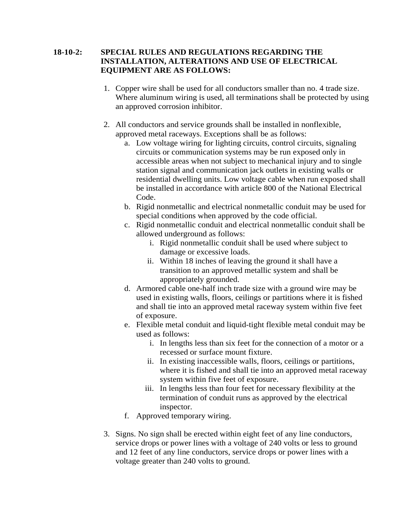# **18-10-2: SPECIAL RULES AND REGULATIONS REGARDING THE INSTALLATION, ALTERATIONS AND USE OF ELECTRICAL EQUIPMENT ARE AS FOLLOWS:**

- 1. Copper wire shall be used for all conductors smaller than no. 4 trade size. Where aluminum wiring is used, all terminations shall be protected by using an approved corrosion inhibitor.
- 2. All conductors and service grounds shall be installed in nonflexible, approved metal raceways. Exceptions shall be as follows:
	- a. Low voltage wiring for lighting circuits, control circuits, signaling circuits or communication systems may be run exposed only in accessible areas when not subject to mechanical injury and to single station signal and communication jack outlets in existing walls or residential dwelling units. Low voltage cable when run exposed shall be installed in accordance with article 800 of the National Electrical Code.
	- b. Rigid nonmetallic and electrical nonmetallic conduit may be used for special conditions when approved by the code official.
	- c. Rigid nonmetallic conduit and electrical nonmetallic conduit shall be allowed underground as follows:
		- i. Rigid nonmetallic conduit shall be used where subject to damage or excessive loads.
		- ii. Within 18 inches of leaving the ground it shall have a transition to an approved metallic system and shall be appropriately grounded.
	- d. Armored cable one-half inch trade size with a ground wire may be used in existing walls, floors, ceilings or partitions where it is fished and shall tie into an approved metal raceway system within five feet of exposure.
	- e. Flexible metal conduit and liquid-tight flexible metal conduit may be used as follows:
		- i. In lengths less than six feet for the connection of a motor or a recessed or surface mount fixture.
		- ii. In existing inaccessible walls, floors, ceilings or partitions, where it is fished and shall tie into an approved metal raceway system within five feet of exposure.
		- iii. In lengths less than four feet for necessary flexibility at the termination of conduit runs as approved by the electrical inspector.
	- f. Approved temporary wiring.
- 3. Signs. No sign shall be erected within eight feet of any line conductors, service drops or power lines with a voltage of 240 volts or less to ground and 12 feet of any line conductors, service drops or power lines with a voltage greater than 240 volts to ground.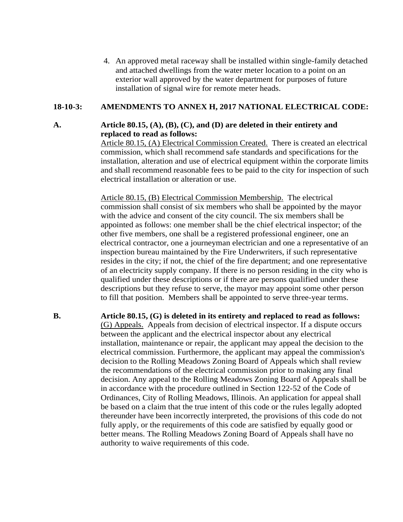4. An approved metal raceway shall be installed within single-family detached and attached dwellings from the water meter location to a point on an exterior wall approved by the water department for purposes of future installation of signal wire for remote meter heads.

# **18-10-3: AMENDMENTS TO ANNEX H, 2017 NATIONAL ELECTRICAL CODE:**

# **A. Article 80.15, (A), (B), (C), and (D) are deleted in their entirety and replaced to read as follows:**

Article 80.15, (A) Electrical Commission Created. There is created an electrical commission, which shall recommend safe standards and specifications for the installation, alteration and use of electrical equipment within the corporate limits and shall recommend reasonable fees to be paid to the city for inspection of such electrical installation or alteration or use.

Article 80.15, (B) Electrical Commission Membership. The electrical commission shall consist of six members who shall be appointed by the mayor with the advice and consent of the city council. The six members shall be appointed as follows: one member shall be the chief electrical inspector; of the other five members, one shall be a registered professional engineer, one an electrical contractor, one a journeyman electrician and one a representative of an inspection bureau maintained by the Fire Underwriters, if such representative resides in the city; if not, the chief of the fire department; and one representative of an electricity supply company. If there is no person residing in the city who is qualified under these descriptions or if there are persons qualified under these descriptions but they refuse to serve, the mayor may appoint some other person to fill that position. Members shall be appointed to serve three-year terms.

# **B. Article 80.15, (G) is deleted in its entirety and replaced to read as follows:** (G) Appeals. Appeals from decision of electrical inspector. If a dispute occurs between the applicant and the electrical inspector about any electrical installation, maintenance or repair, the applicant may appeal the decision to the electrical commission. Furthermore, the applicant may appeal the commission's decision to the Rolling Meadows Zoning Board of Appeals which shall review the recommendations of the electrical commission prior to making any final decision. Any appeal to the Rolling Meadows Zoning Board of Appeals shall be in accordance with the procedure outlined in Section 122-52 of the Code of Ordinances, City of Rolling Meadows, Illinois. An application for appeal shall be based on a claim that the true intent of this code or the rules legally adopted thereunder have been incorrectly interpreted, the provisions of this code do not fully apply, or the requirements of this code are satisfied by equally good or better means. The Rolling Meadows Zoning Board of Appeals shall have no authority to waive requirements of this code.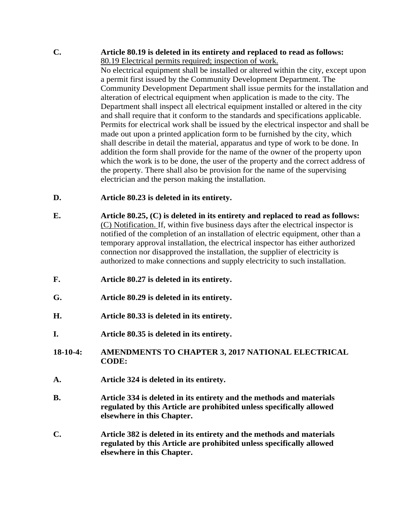# **C. Article 80.19 is deleted in its entirety and replaced to read as follows:**

80.19 Electrical permits required; inspection of work. No electrical equipment shall be installed or altered within the city, except upon a permit first issued by the Community Development Department. The Community Development Department shall issue permits for the installation and alteration of electrical equipment when application is made to the city. The Department shall inspect all electrical equipment installed or altered in the city and shall require that it conform to the standards and specifications applicable. Permits for electrical work shall be issued by the electrical inspector and shall be made out upon a printed application form to be furnished by the city, which shall describe in detail the material, apparatus and type of work to be done. In addition the form shall provide for the name of the owner of the property upon which the work is to be done, the user of the property and the correct address of the property. There shall also be provision for the name of the supervising electrician and the person making the installation.

# **D. Article 80.23 is deleted in its entirety.**

- **E. Article 80.25, (C) is deleted in its entirety and replaced to read as follows:**  (C) Notification. If, within five business days after the electrical inspector is notified of the completion of an installation of electric equipment, other than a temporary approval installation, the electrical inspector has either authorized connection nor disapproved the installation, the supplier of electricity is authorized to make connections and supply electricity to such installation.
- **F. Article 80.27 is deleted in its entirety.**
- **G. Article 80.29 is deleted in its entirety.**
- **H. Article 80.33 is deleted in its entirety.**
- **I. Article 80.35 is deleted in its entirety.**
- **18-10-4: AMENDMENTS TO CHAPTER 3, 2017 NATIONAL ELECTRICAL CODE:**
- **A. Article 324 is deleted in its entirety.**
- **B. Article 334 is deleted in its entirety and the methods and materials regulated by this Article are prohibited unless specifically allowed elsewhere in this Chapter.**
- **C. Article 382 is deleted in its entirety and the methods and materials regulated by this Article are prohibited unless specifically allowed elsewhere in this Chapter.**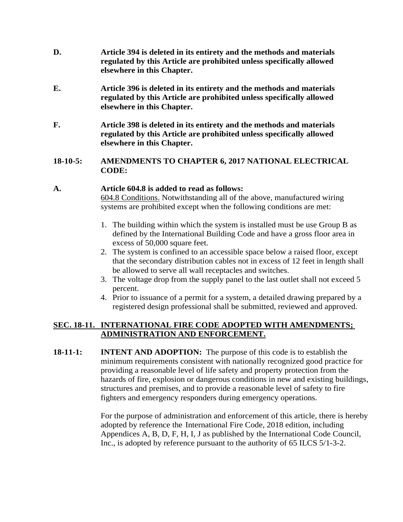- **D. Article 394 is deleted in its entirety and the methods and materials regulated by this Article are prohibited unless specifically allowed elsewhere in this Chapter.**
- **E. Article 396 is deleted in its entirety and the methods and materials regulated by this Article are prohibited unless specifically allowed elsewhere in this Chapter.**
- **F. Article 398 is deleted in its entirety and the methods and materials regulated by this Article are prohibited unless specifically allowed elsewhere in this Chapter.**

### **18-10-5: AMENDMENTS TO CHAPTER 6, 2017 NATIONAL ELECTRICAL CODE:**

### **A. Article 604.8 is added to read as follows:**

604.8 Conditions. Notwithstanding all of the above, manufactured wiring systems are prohibited except when the following conditions are met:

- 1. The building within which the system is installed must be use Group B as defined by the International Building Code and have a gross floor area in excess of 50,000 square feet.
- 2. The system is confined to an accessible space below a raised floor, except that the secondary distribution cables not in excess of 12 feet in length shall be allowed to serve all wall receptacles and switches.
- 3. The voltage drop from the supply panel to the last outlet shall not exceed 5 percent.
- 4. Prior to issuance of a permit for a system, a detailed drawing prepared by a registered design professional shall be submitted, reviewed and approved.

### **SEC. 18-11. INTERNATIONAL FIRE CODE ADOPTED WITH AMENDMENTS; ADMINISTRATION AND ENFORCEMENT.**

**18-11-1: INTENT AND ADOPTION:** The purpose of this code is to establish the minimum requirements consistent with nationally recognized good practice for providing a reasonable level of life safety and property protection from the hazards of fire, explosion or dangerous conditions in new and existing buildings, structures and premises, and to provide a reasonable level of safety to fire fighters and emergency responders during emergency operations.

> For the purpose of administration and enforcement of this article, there is hereby adopted by reference the International Fire Code, 2018 edition, including Appendices A, B, D, F, H, I, J as published by the International Code Council, Inc., is adopted by reference pursuant to the authority of 65 ILCS 5/1-3-2.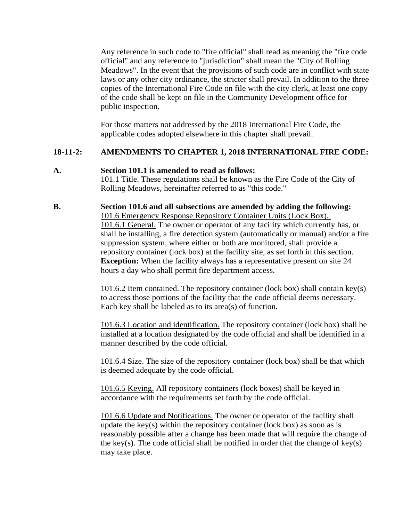Any reference in such code to "fire official" shall read as meaning the "fire code official" and any reference to "jurisdiction" shall mean the "City of Rolling Meadows". In the event that the provisions of such code are in conflict with state laws or any other city ordinance, the stricter shall prevail. In addition to the three copies of the International Fire Code on file with the city clerk, at least one copy of the code shall be kept on file in the Community Development office for public inspection.

For those matters not addressed by the 2018 International Fire Code, the applicable codes adopted elsewhere in this chapter shall prevail.

# **18-11-2: AMENDMENTS TO CHAPTER 1, 2018 INTERNATIONAL FIRE CODE:**

# **A. Section 101.1 is amended to read as follows:**

101.1 Title. These regulations shall be known as the Fire Code of the City of Rolling Meadows, hereinafter referred to as "this code."

#### **B. Section 101.6 and all subsections are amended by adding the following:**  101.6 Emergency Response Repository Container Units (Lock Box).

101.6.1 General. The owner or operator of any facility which currently has, or shall be installing, a fire detection system (automatically or manual) and/or a fire suppression system, where either or both are monitored, shall provide a repository container (lock box) at the facility site, as set forth in this section. **Exception:** When the facility always has a representative present on site 24 hours a day who shall permit fire department access.

101.6.2 Item contained. The repository container (lock box) shall contain key(s) to access those portions of the facility that the code official deems necessary. Each key shall be labeled as to its area(s) of function.

101.6.3 Location and identification. The repository container (lock box) shall be installed at a location designated by the code official and shall be identified in a manner described by the code official.

101.6.4 Size. The size of the repository container (lock box) shall be that which is deemed adequate by the code official.

101.6.5 Keying. All repository containers (lock boxes) shall be keyed in accordance with the requirements set forth by the code official.

101.6.6 Update and Notifications. The owner or operator of the facility shall update the key(s) within the repository container (lock box) as soon as is reasonably possible after a change has been made that will require the change of the key(s). The code official shall be notified in order that the change of key(s) may take place.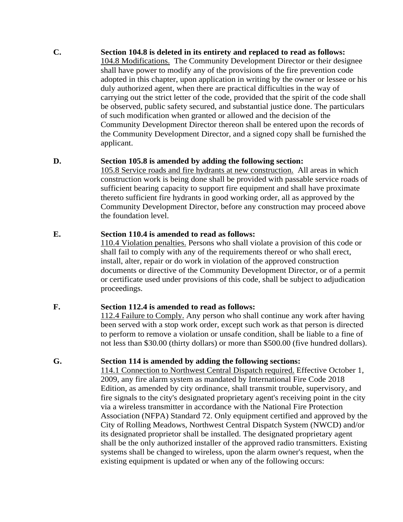**C. Section 104.8 is deleted in its entirety and replaced to read as follows:** 104.8 Modifications. The Community Development Director or their designee shall have power to modify any of the provisions of the fire prevention code adopted in this chapter, upon application in writing by the owner or lessee or his duly authorized agent, when there are practical difficulties in the way of carrying out the strict letter of the code, provided that the spirit of the code shall be observed, public safety secured, and substantial justice done. The particulars of such modification when granted or allowed and the decision of the Community Development Director thereon shall be entered upon the records of the Community Development Director, and a signed copy shall be furnished the applicant.

#### **D. Section 105.8 is amended by adding the following section:**

105.8 Service roads and fire hydrants at new construction. All areas in which construction work is being done shall be provided with passable service roads of sufficient bearing capacity to support fire equipment and shall have proximate thereto sufficient fire hydrants in good working order, all as approved by the Community Development Director, before any construction may proceed above the foundation level.

### **E. Section 110.4 is amended to read as follows:**

110.4 Violation penalties. Persons who shall violate a provision of this code or shall fail to comply with any of the requirements thereof or who shall erect, install, alter, repair or do work in violation of the approved construction documents or directive of the Community Development Director, or of a permit or certificate used under provisions of this code, shall be subject to adjudication proceedings.

# **F. Section 112.4 is amended to read as follows:**

112.4 Failure to Comply. Any person who shall continue any work after having been served with a stop work order, except such work as that person is directed to perform to remove a violation or unsafe condition, shall be liable to a fine of not less than \$30.00 (thirty dollars) or more than \$500.00 (five hundred dollars).

# **G. Section 114 is amended by adding the following sections:**

114.1 Connection to Northwest Central Dispatch required. Effective October 1, 2009, any fire alarm system as mandated by International Fire Code 2018 Edition, as amended by city ordinance, shall transmit trouble, supervisory, and fire signals to the city's designated proprietary agent's receiving point in the city via a wireless transmitter in accordance with the National Fire Protection Association (NFPA) Standard 72. Only equipment certified and approved by the City of Rolling Meadows, Northwest Central Dispatch System (NWCD) and/or its designated proprietor shall be installed. The designated proprietary agent shall be the only authorized installer of the approved radio transmitters. Existing systems shall be changed to wireless, upon the alarm owner's request, when the existing equipment is updated or when any of the following occurs: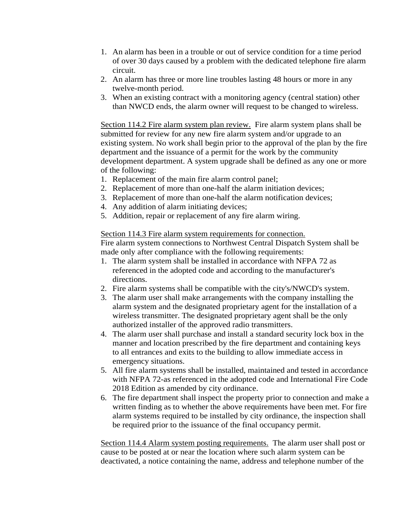- 1. An alarm has been in a trouble or out of service condition for a time period of over 30 days caused by a problem with the dedicated telephone fire alarm circuit.
- 2. An alarm has three or more line troubles lasting 48 hours or more in any twelve-month period.
- 3. When an existing contract with a monitoring agency (central station) other than NWCD ends, the alarm owner will request to be changed to wireless.

Section 114.2 Fire alarm system plan review. Fire alarm system plans shall be submitted for review for any new fire alarm system and/or upgrade to an existing system. No work shall begin prior to the approval of the plan by the fire department and the issuance of a permit for the work by the community development department. A system upgrade shall be defined as any one or more of the following:

- 1. Replacement of the main fire alarm control panel;
- 2. Replacement of more than one-half the alarm initiation devices;
- 3. Replacement of more than one-half the alarm notification devices;
- 4. Any addition of alarm initiating devices;
- 5. Addition, repair or replacement of any fire alarm wiring.

#### Section 114.3 Fire alarm system requirements for connection.

Fire alarm system connections to Northwest Central Dispatch System shall be made only after compliance with the following requirements:

- 1. The alarm system shall be installed in accordance with NFPA 72 as referenced in the adopted code and according to the manufacturer's directions.
- 2. Fire alarm systems shall be compatible with the city's/NWCD's system.
- 3. The alarm user shall make arrangements with the company installing the alarm system and the designated proprietary agent for the installation of a wireless transmitter. The designated proprietary agent shall be the only authorized installer of the approved radio transmitters.
- 4. The alarm user shall purchase and install a standard security lock box in the manner and location prescribed by the fire department and containing keys to all entrances and exits to the building to allow immediate access in emergency situations.
- 5. All fire alarm systems shall be installed, maintained and tested in accordance with NFPA 72-as referenced in the adopted code and International Fire Code 2018 Edition as amended by city ordinance.
- 6. The fire department shall inspect the property prior to connection and make a written finding as to whether the above requirements have been met. For fire alarm systems required to be installed by city ordinance, the inspection shall be required prior to the issuance of the final occupancy permit.

Section 114.4 Alarm system posting requirements. The alarm user shall post or cause to be posted at or near the location where such alarm system can be deactivated, a notice containing the name, address and telephone number of the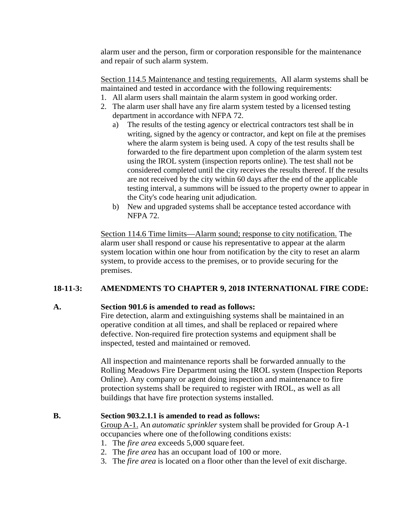alarm user and the person, firm or corporation responsible for the maintenance and repair of such alarm system.

Section 114.5 Maintenance and testing requirements. All alarm systems shall be maintained and tested in accordance with the following requirements:

- 1. All alarm users shall maintain the alarm system in good working order.
- 2. The alarm user shall have any fire alarm system tested by a licensed testing department in accordance with NFPA 72.
	- a) The results of the testing agency or electrical contractors test shall be in writing, signed by the agency or contractor, and kept on file at the premises where the alarm system is being used. A copy of the test results shall be forwarded to the fire department upon completion of the alarm system test using the IROL system (inspection reports online). The test shall not be considered completed until the city receives the results thereof. If the results are not received by the city within 60 days after the end of the applicable testing interval, a summons will be issued to the property owner to appear in the City's code hearing unit adjudication.
	- b) New and upgraded systems shall be acceptance tested accordance with NFPA 72.

Section 114.6 Time limits—Alarm sound; response to city notification. The alarm user shall respond or cause his representative to appear at the alarm system location within one hour from notification by the city to reset an alarm system, to provide access to the premises, or to provide securing for the premises.

# **18-11-3: AMENDMENTS TO CHAPTER 9, 2018 INTERNATIONAL FIRE CODE:**

# **A. Section 901.6 is amended to read as follows:**

Fire detection, alarm and extinguishing systems shall be maintained in an operative condition at all times, and shall be replaced or repaired where defective. Non-required fire protection systems and equipment shall be inspected, tested and maintained or removed.

All inspection and maintenance reports shall be forwarded annually to the Rolling Meadows Fire Department using the IROL system (Inspection Reports Online). Any company or agent doing inspection and maintenance to fire protection systems shall be required to register with IROL, as well as all buildings that have fire protection systems installed.

# **B. Section 903.2.1.1 is amended to read as follows:**

Group A-1. An *automatic sprinkler* system shall be provided for Group A-1 occupancies where one of thefollowing conditions exists:

- 1. The *fire area* exceeds 5,000 square feet.
- 2. The *fire area* has an occupant load of 100 or more.
- 3. The *fire area* is located on a floor other than the level of exit discharge.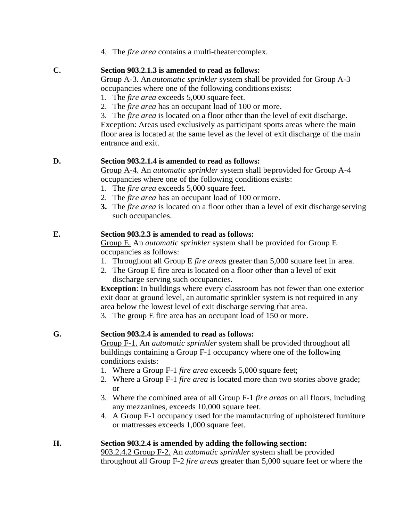4. The *fire area* contains a multi-theatercomplex.

# **C. Section 903.2.1.3 is amended to read as follows:**

Group A-3. An *automatic sprinkler* system shall be provided for Group A-3 occupancies where one of the following conditions exists:

- 1. The *fire area* exceeds 5,000 square feet.
- 2. The *fire area* has an occupant load of 100 or more.

3. The *fire area* is located on a floor other than the level of exit discharge. Exception: Areas used exclusively as participant sports areas where the main floor area is located at the same level as the level of exit discharge of the main entrance and exit.

# **D. Section 903.2.1.4 is amended to read as follows:**

Group A-4. An *automatic sprinkler* system shall beprovided for Group A-4 occupancies where one of the following conditions exists:

- 1. The *fire area* exceeds 5,000 square feet.
- 2. The *fire area* has an occupant load of 100 ormore.
- **3.** The *fire area* is located on a floor other than a level of exit discharge serving such occupancies.

# **E. Section 903.2.3 is amended to read as follows:**

Group E. An *automatic sprinkler* system shall be provided for Group E occupancies as follows:

- 1. Throughout all Group E *fire area*s greater than 5,000 square feet in area.
- 2. The Group E fire area is located on a floor other than a level of exit discharge serving such occupancies.

**Exception**: In buildings where every classroom has not fewer than one exterior exit door at ground level, an automatic sprinkler system is not required in any area below the lowest level of exit discharge serving that area.

3. The group E fire area has an occupant load of 150 or more.

# **G. Section 903.2.4 is amended to read as follows:**

Group F-1. An *automatic sprinkler* system shall be provided throughout all buildings containing a Group F-1 occupancy where one of the following conditions exists:

- 1. Where a Group F-1 *fire area* exceeds 5,000 square feet;
- 2. Where a Group F-1 *fire area* is located more than two stories above grade; or
- 3. Where the combined area of all Group F-1 *fire area*s on all floors, including any mezzanines, exceeds 10,000 square feet.
- 4. A Group F-1 occupancy used for the manufacturing of upholstered furniture or mattresses exceeds 1,000 square feet.

# **H. Section 903.2.4 is amended by adding the following section:**

903.2.4.2 Group F-2. An *automatic sprinkler* system shall be provided throughout all Group F-2 *fire area*s greater than 5,000 square feet or where the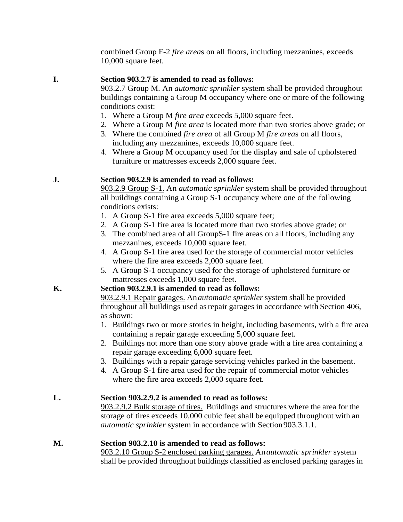combined Group F-2 *fire area*s on all floors, including mezzanines, exceeds 10,000 square feet.

# **I. Section 903.2.7 is amended to read as follows:**

903.2.7 Group M. An *automatic sprinkler* system shall be provided throughout buildings containing a Group M occupancy where one or more of the following conditions exist:

- 1. Where a Group M *fire area* exceeds 5,000 square feet.
- 2. Where a Group M *fire area* is located more than two stories above grade; or
- 3. Where the combined *fire area* of all Group M *fire area*s on all floors, including any mezzanines, exceeds 10,000 square feet.
- 4. Where a Group M occupancy used for the display and sale of upholstered furniture or mattresses exceeds 2,000 square feet.

# **J. Section 903.2.9 is amended to read as follows:**

903.2.9 Group S-1. An *automatic sprinkler* system shall be provided throughout all buildings containing a Group S-1 occupancy where one of the following conditions exists:

- 1. A Group S-1 fire area exceeds 5,000 square feet;
- 2. A Group S-1 fire area is located more than two stories above grade; or
- 3. The combined area of all GroupS-1 fire areas on all floors, including any mezzanines, exceeds 10,000 square feet.
- 4. A Group S-1 fire area used for the storage of commercial motor vehicles where the fire area exceeds 2,000 square feet.
- 5. A Group S-1 occupancy used for the storage of upholstered furniture or mattresses exceeds 1,000 square feet.

# **K. Section 903.2.9.1 is amended to read as follows:**

903.2.9.1 Repair garages. An*automatic sprinkler*system shall be provided throughout all buildings used asrepair garages in accordance with Section 406, asshown:

- 1. Buildings two or more stories in height, including basements, with a fire area containing a repair garage exceeding 5,000 square feet.
- 2. Buildings not more than one story above grade with a fire area containing a repair garage exceeding 6,000 square feet.
- 3. Buildings with a repair garage servicing vehicles parked in the basement.
- 4. A Group S-1 fire area used for the repair of commercial motor vehicles where the fire area exceeds 2,000 square feet.

# **L. Section 903.2.9.2 is amended to read as follows:**

903.2.9.2 Bulk storage of tires.Buildings and structures where the area for the storage of tires exceeds 10,000 cubic feet shall be equipped throughout with an *automatic sprinkler* system in accordance with Section903.3.1.1.

# **M. Section 903.2.10 is amended to read as follows:**

903.2.10 Group S-2 enclosed parking garages. An*automatic sprinkler* system shall be provided throughout buildings classified as enclosed parking garages in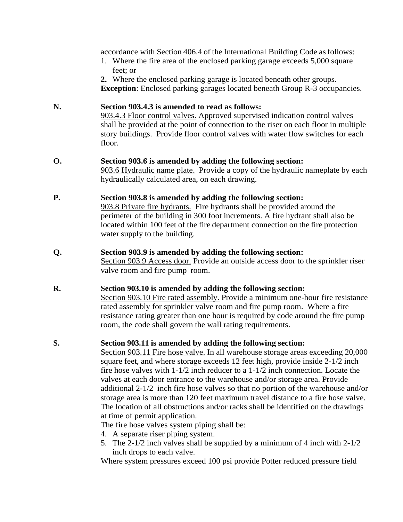accordance with Section 406.4 of the International Building Code asfollows:

- 1. Where the fire area of the enclosed parking garage exceeds 5,000 square feet; or
- **2.** Where the enclosed parking garage is located beneath other groups.

**Exception**: Enclosed parking garages located beneath Group R-3 occupancies.

# **N. Section 903.4.3 is amended to read as follows:**

903.4.3 Floor control valves. Approved supervised indication control valves shall be provided at the point of connection to the riser on each floor in multiple story buildings. Provide floor control valves with water flow switches for each floor.

# **O. Section 903.6 is amended by adding the following section:**

903.6 Hydraulic name plate.Provide a copy of the hydraulic nameplate by each hydraulically calculated area, on each drawing.

## **P. Section 903.8 is amended by adding the following section:**

903.8 Private fire hydrants. Fire hydrants shall be provided around the perimeter of the building in 300 foot increments. A fire hydrant shall also be located within 100 feet of the fire department connection on the fire protection water supply to the building.

### **Q. Section 903.9 is amended by adding the following section:**

Section 903.9 Access door. Provide an outside access door to the sprinkler riser valve room and fire pump room.

#### **R. Section 903.10 is amended by adding the following section:**

Section 903.10 Fire rated assembly. Provide a minimum one-hour fire resistance rated assembly for sprinkler valve room and fire pump room. Where a fire resistance rating greater than one hour is required by code around the fire pump room, the code shall govern the wall rating requirements.

# **S. Section 903.11 is amended by adding the following section:**

Section 903.11 Fire hose valve. In all warehouse storage areas exceeding 20,000 square feet, and where storage exceeds 12 feet high, provide inside 2-1/2 inch fire hose valves with 1-1/2 inch reducer to a 1-1/2 inch connection. Locate the valves at each door entrance to the warehouse and/or storage area. Provide additional 2-1/2 inch fire hose valves so that no portion of the warehouse and/or storage area is more than 120 feet maximum travel distance to a fire hose valve. The location of all obstructions and/or racks shall be identified on the drawings at time of permit application.

The fire hose valves system piping shall be:

- 4. A separate riser piping system.
- 5. The 2-1/2 inch valves shall be supplied by a minimum of 4 inch with 2-1/2 inch drops to each valve.

Where system pressures exceed 100 psi provide Potter reduced pressure field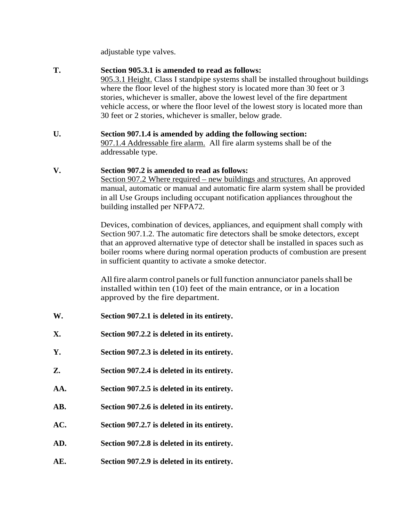adjustable type valves.

- **T. Section 905.3.1 is amended to read as follows:** 905.3.1 Height. Class I standpipe systems shall be installed throughout buildings where the floor level of the highest story is located more than 30 feet or 3 stories, whichever is smaller, above the lowest level of the fire department vehicle access, or where the floor level of the lowest story is located more than 30 feet or 2 stories, whichever is smaller, below grade. **U. Section 907.1.4 is amended by adding the following section:** 907.1.4 Addressable fire alarm. All fire alarm systems shall be of the addressable type. **V. Section 907.2 is amended to read as follows:** Section 907.2 Where required – new buildings and structures. An approved manual, automatic or manual and automatic fire alarm system shall be provided in all Use Groups including occupant notification appliances throughout the building installed per NFPA72. Devices, combination of devices, appliances, and equipment shall comply with Section 907.1.2. The automatic fire detectors shall be smoke detectors, except that an approved alternative type of detector shall be installed in spaces such as boiler rooms where during normal operation products of combustion are present in sufficient quantity to activate a smoke detector. All fire alarm control panels or full function annunciator panels shall be installed within ten (10) feet of the main entrance, or in a location approved by the fire department. **W. Section 907.2.1 is deleted in its entirety. X. Section 907.2.2 is deleted in its entirety. Y. Section 907.2.3 is deleted in its entirety. Z. Section 907.2.4 is deleted in its entirety. AA. Section 907.2.5 is deleted in its entirety. AB. Section 907.2.6 is deleted in its entirety. AC. Section 907.2.7 is deleted in its entirety.**
- **AD. Section 907.2.8 is deleted in its entirety.**
- **AE. Section 907.2.9 is deleted in its entirety.**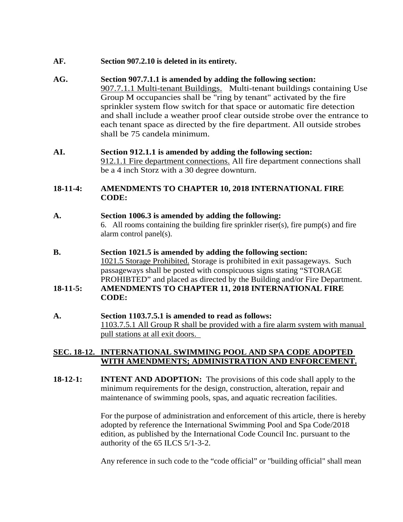- **AF. Section 907.2.10 is deleted in its entirety.**
- **AG. Section 907.7.1.1 is amended by adding the following section:** 907.7.1.1 Multi-tenant Buildings. Multi-tenant buildings containing Use Group M occupancies shall be "ring by tenant" activated by the fire sprinkler system flow switch for that space or automatic fire detection and shall include a weather proof clear outside strobe over the entrance to each tenant space as directed by the fire department. All outside strobes shall be 75 candela minimum.
- **AI. Section 912.1.1 is amended by adding the following section:** 912.1.1 Fire department connections. All fire department connections shall be a 4 inch Storz with a 30 degree downturn.

# **18-11-4: AMENDMENTS TO CHAPTER 10, 2018 INTERNATIONAL FIRE CODE:**

- **A. Section 1006.3 is amended by adding the following:**  6. All rooms containing the building fire sprinkler riser(s), fire pump(s) and fire alarm control panel(s).
- **B. Section 1021.5 is amended by adding the following section:**  1021.5 Storage Prohibited. Storage is prohibited in exit passageways. Such passageways shall be posted with conspicuous signs stating "STORAGE PROHIBTED" and placed as directed by the Building and/or Fire Department.

# **18-11-5: AMENDMENTS TO CHAPTER 11, 2018 INTERNATIONAL FIRE CODE:**

**A. Section 1103.7.5.1 is amended to read as follows:**  1103.7.5.1 All Group R shall be provided with a fire alarm system with manual pull stations at all exit doors.

# **SEC. 18-12. INTERNATIONAL SWIMMING POOL AND SPA CODE ADOPTED WITH AMENDMENTS; ADMINISTRATION AND ENFORCEMENT.**

**18-12-1: INTENT AND ADOPTION:** The provisions of this code shall apply to the minimum requirements for the design, construction, alteration, repair and maintenance of swimming pools, spas, and aquatic recreation facilities.

> For the purpose of administration and enforcement of this article, there is hereby adopted by reference the International Swimming Pool and Spa Code/2018 edition, as published by the International Code Council Inc. pursuant to the authority of the 65 ILCS 5/1-3-2.

Any reference in such code to the "code official" or "building official" shall mean